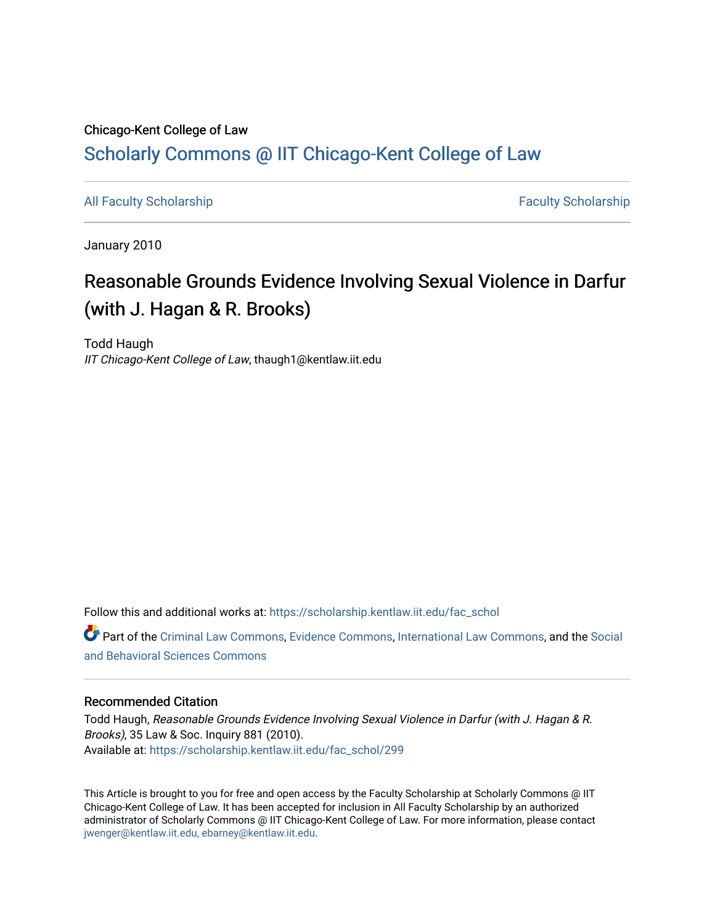# Chicago-Kent College of Law [Scholarly Commons @ IIT Chicago-Kent College of Law](https://scholarship.kentlaw.iit.edu/)

[All Faculty Scholarship](https://scholarship.kentlaw.iit.edu/fac_schol) **Faculty Scholarship** [Faculty Scholarship](https://scholarship.kentlaw.iit.edu/faculty_scholarship) **Faculty Scholarship** 

January 2010

# Reasonable Grounds Evidence Involving Sexual Violence in Darfur (with J. Hagan & R. Brooks)

Todd Haugh IIT Chicago-Kent College of Law, thaugh1@kentlaw.iit.edu

Follow this and additional works at: [https://scholarship.kentlaw.iit.edu/fac\\_schol](https://scholarship.kentlaw.iit.edu/fac_schol?utm_source=scholarship.kentlaw.iit.edu%2Ffac_schol%2F299&utm_medium=PDF&utm_campaign=PDFCoverPages) 

Part of the [Criminal Law Commons,](http://network.bepress.com/hgg/discipline/912?utm_source=scholarship.kentlaw.iit.edu%2Ffac_schol%2F299&utm_medium=PDF&utm_campaign=PDFCoverPages) [Evidence Commons](http://network.bepress.com/hgg/discipline/601?utm_source=scholarship.kentlaw.iit.edu%2Ffac_schol%2F299&utm_medium=PDF&utm_campaign=PDFCoverPages), [International Law Commons](http://network.bepress.com/hgg/discipline/609?utm_source=scholarship.kentlaw.iit.edu%2Ffac_schol%2F299&utm_medium=PDF&utm_campaign=PDFCoverPages), and the [Social](http://network.bepress.com/hgg/discipline/316?utm_source=scholarship.kentlaw.iit.edu%2Ffac_schol%2F299&utm_medium=PDF&utm_campaign=PDFCoverPages) [and Behavioral Sciences Commons](http://network.bepress.com/hgg/discipline/316?utm_source=scholarship.kentlaw.iit.edu%2Ffac_schol%2F299&utm_medium=PDF&utm_campaign=PDFCoverPages) 

# Recommended Citation

Todd Haugh, Reasonable Grounds Evidence Involving Sexual Violence in Darfur (with J. Hagan & R. Brooks), 35 Law & Soc. Inquiry 881 (2010). Available at: [https://scholarship.kentlaw.iit.edu/fac\\_schol/299](https://scholarship.kentlaw.iit.edu/fac_schol/299?utm_source=scholarship.kentlaw.iit.edu%2Ffac_schol%2F299&utm_medium=PDF&utm_campaign=PDFCoverPages)

This Article is brought to you for free and open access by the Faculty Scholarship at Scholarly Commons @ IIT Chicago-Kent College of Law. It has been accepted for inclusion in All Faculty Scholarship by an authorized administrator of Scholarly Commons @ IIT Chicago-Kent College of Law. For more information, please contact [jwenger@kentlaw.iit.edu, ebarney@kentlaw.iit.edu.](mailto:jwenger@kentlaw.iit.edu,%20ebarney@kentlaw.iit.edu)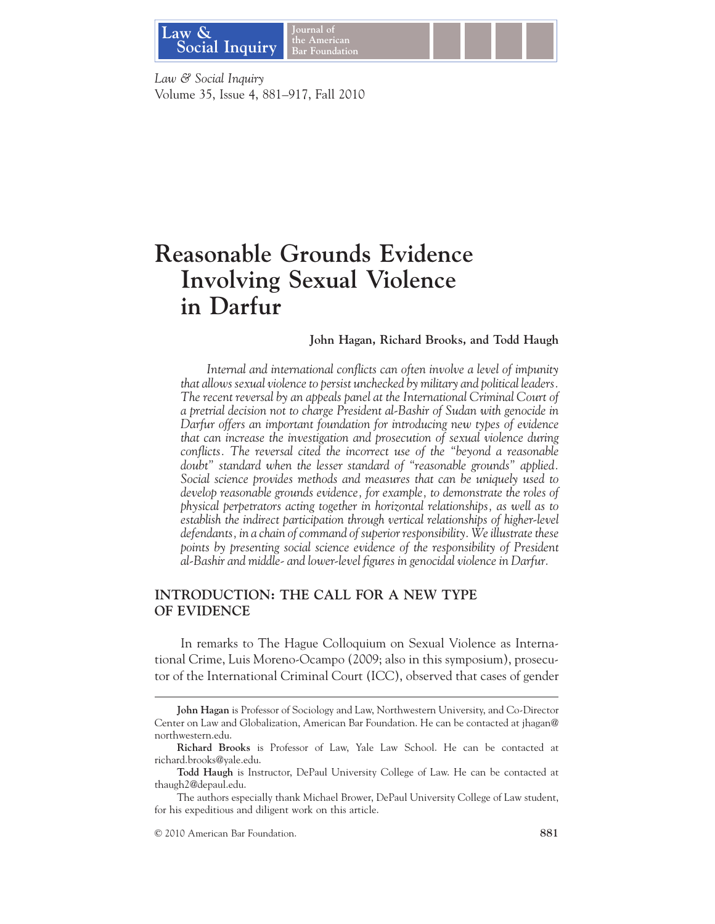

*Law & Social Inquiry* Volume 35, Issue 4, 881–917, Fall 2010

# **Reasonable Grounds Evidence Involving Sexual Violence in Darfur**

#### **John Hagan, Richard Brooks, and Todd Haugh**

*Internal and international conflicts can often involve a level of impunity that allows sexual violence to persist unchecked by military and political leaders. The recent reversal by an appeals panel at the International Criminal Court of a pretrial decision not to charge President al-Bashir of Sudan with genocide in Darfur offers an important foundation for introducing new types of evidence that can increase the investigation and prosecution of sexual violence during conflicts. The reversal cited the incorrect use of the "beyond a reasonable doubt" standard when the lesser standard of "reasonable grounds" applied. Social science provides methods and measures that can be uniquely used to develop reasonable grounds evidence, for example, to demonstrate the roles of physical perpetrators acting together in horizontal relationships, as well as to establish the indirect participation through vertical relationships of higher-level defendants, in a chain of command of superior responsibility. We illustrate these points by presenting social science evidence of the responsibility of President al-Bashir and middle- and lower-level figures in genocidal violence in Darfur.lsi\_1208 881..918*

# **INTRODUCTION: THE CALL FOR A NEW TYPE OF EVIDENCE**

In remarks to The Hague Colloquium on Sexual Violence as International Crime, Luis Moreno-Ocampo (2009; also in this symposium), prosecutor of the International Criminal Court (ICC), observed that cases of gender

**John Hagan** is Professor of Sociology and Law, Northwestern University, and Co-Director Center on Law and Globalization, American Bar Foundation. He can be contacted at jhagan@ northwestern.edu.

**Richard Brooks** is Professor of Law, Yale Law School. He can be contacted at richard.brooks@yale.edu.

**Todd Haugh** is Instructor, DePaul University College of Law. He can be contacted at thaugh2@depaul.edu.

The authors especially thank Michael Brower, DePaul University College of Law student, for his expeditious and diligent work on this article.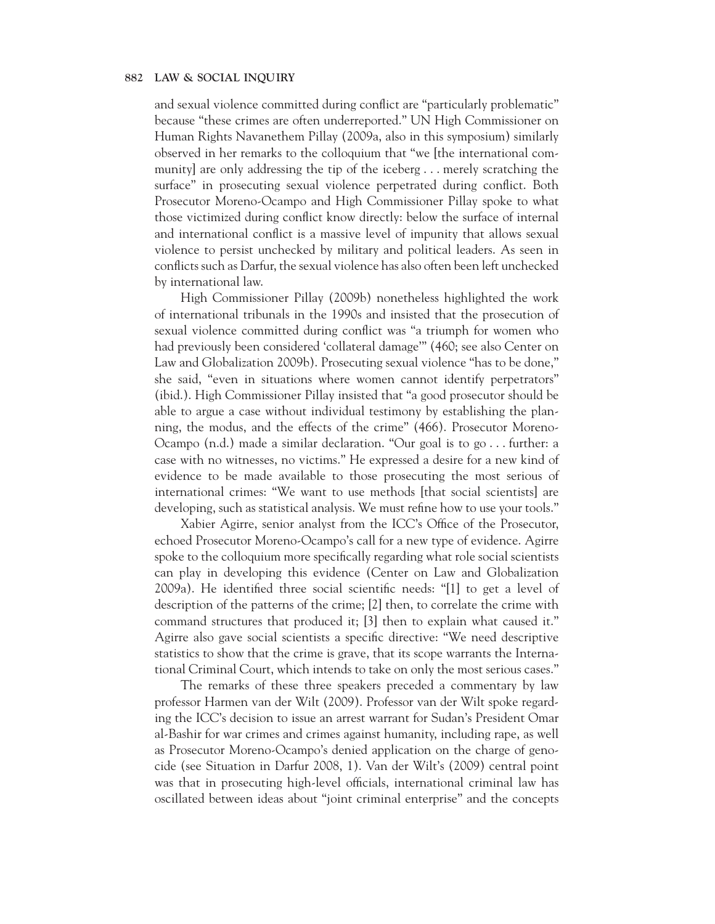and sexual violence committed during conflict are "particularly problematic" because "these crimes are often underreported." UN High Commissioner on Human Rights Navanethem Pillay (2009a, also in this symposium) similarly observed in her remarks to the colloquium that "we [the international community] are only addressing the tip of the iceberg... merely scratching the surface" in prosecuting sexual violence perpetrated during conflict. Both Prosecutor Moreno-Ocampo and High Commissioner Pillay spoke to what those victimized during conflict know directly: below the surface of internal and international conflict is a massive level of impunity that allows sexual violence to persist unchecked by military and political leaders. As seen in conflicts such as Darfur, the sexual violence has also often been left unchecked by international law.

High Commissioner Pillay (2009b) nonetheless highlighted the work of international tribunals in the 1990s and insisted that the prosecution of sexual violence committed during conflict was "a triumph for women who had previously been considered 'collateral damage'" (460; see also Center on Law and Globalization 2009b). Prosecuting sexual violence "has to be done," she said, "even in situations where women cannot identify perpetrators" (ibid.). High Commissioner Pillay insisted that "a good prosecutor should be able to argue a case without individual testimony by establishing the planning, the modus, and the effects of the crime" (466). Prosecutor Moreno-Ocampo (n.d.) made a similar declaration. "Our goal is to go... further: a case with no witnesses, no victims." He expressed a desire for a new kind of evidence to be made available to those prosecuting the most serious of international crimes: "We want to use methods [that social scientists] are developing, such as statistical analysis. We must refine how to use your tools."

Xabier Agirre, senior analyst from the ICC's Office of the Prosecutor, echoed Prosecutor Moreno-Ocampo's call for a new type of evidence. Agirre spoke to the colloquium more specifically regarding what role social scientists can play in developing this evidence (Center on Law and Globalization 2009a). He identified three social scientific needs: "[1] to get a level of description of the patterns of the crime; [2] then, to correlate the crime with command structures that produced it; [3] then to explain what caused it." Agirre also gave social scientists a specific directive: "We need descriptive statistics to show that the crime is grave, that its scope warrants the International Criminal Court, which intends to take on only the most serious cases."

The remarks of these three speakers preceded a commentary by law professor Harmen van der Wilt (2009). Professor van der Wilt spoke regarding the ICC's decision to issue an arrest warrant for Sudan's President Omar al-Bashir for war crimes and crimes against humanity, including rape, as well as Prosecutor Moreno-Ocampo's denied application on the charge of genocide (see Situation in Darfur 2008, 1). Van der Wilt's (2009) central point was that in prosecuting high-level officials, international criminal law has oscillated between ideas about "joint criminal enterprise" and the concepts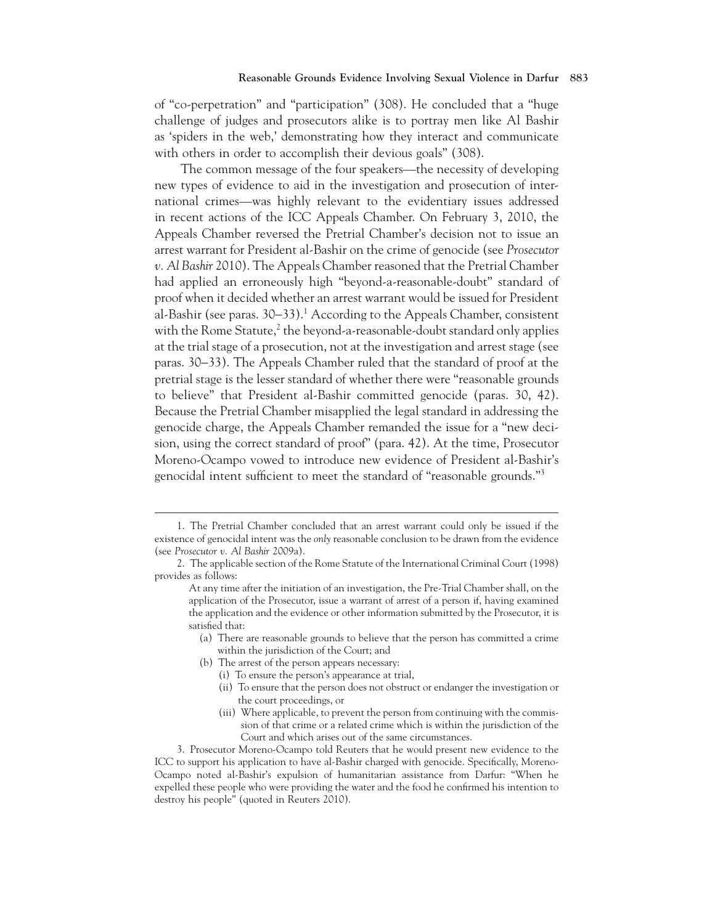of "co-perpetration" and "participation" (308). He concluded that a "huge challenge of judges and prosecutors alike is to portray men like Al Bashir as 'spiders in the web,' demonstrating how they interact and communicate with others in order to accomplish their devious goals" (308).

The common message of the four speakers—the necessity of developing new types of evidence to aid in the investigation and prosecution of international crimes—was highly relevant to the evidentiary issues addressed in recent actions of the ICC Appeals Chamber. On February 3, 2010, the Appeals Chamber reversed the Pretrial Chamber's decision not to issue an arrest warrant for President al-Bashir on the crime of genocide (see *Prosecutor v. Al Bashir* 2010). The Appeals Chamber reasoned that the Pretrial Chamber had applied an erroneously high "beyond-a-reasonable-doubt" standard of proof when it decided whether an arrest warrant would be issued for President al-Bashir (see paras. 30–33).<sup>1</sup> According to the Appeals Chamber, consistent with the Rome Statute, $^2$  the beyond-a-reasonable-doubt standard only applies at the trial stage of a prosecution, not at the investigation and arrest stage (see paras. 30-33). The Appeals Chamber ruled that the standard of proof at the pretrial stage is the lesser standard of whether there were "reasonable grounds to believe" that President al-Bashir committed genocide (paras. 30, 42). Because the Pretrial Chamber misapplied the legal standard in addressing the genocide charge, the Appeals Chamber remanded the issue for a "new decision, using the correct standard of proof" (para. 42). At the time, Prosecutor Moreno-Ocampo vowed to introduce new evidence of President al-Bashir's genocidal intent sufficient to meet the standard of "reasonable grounds."3

- (a) There are reasonable grounds to believe that the person has committed a crime within the jurisdiction of the Court; and
- (b) The arrest of the person appears necessary:
	- (i) To ensure the person's appearance at trial,
	- (ii) To ensure that the person does not obstruct or endanger the investigation or the court proceedings, or
	- (iii) Where applicable, to prevent the person from continuing with the commission of that crime or a related crime which is within the jurisdiction of the Court and which arises out of the same circumstances.

<sup>1.</sup> The Pretrial Chamber concluded that an arrest warrant could only be issued if the existence of genocidal intent was the *only* reasonable conclusion to be drawn from the evidence (see *Prosecutor v. Al Bashir* 2009a).

<sup>2.</sup> The applicable section of the Rome Statute of the International Criminal Court (1998) provides as follows:

At any time after the initiation of an investigation, the Pre-Trial Chamber shall, on the application of the Prosecutor, issue a warrant of arrest of a person if, having examined the application and the evidence or other information submitted by the Prosecutor, it is satisfied that:

<sup>3.</sup> Prosecutor Moreno-Ocampo told Reuters that he would present new evidence to the ICC to support his application to have al-Bashir charged with genocide. Specifically, Moreno-Ocampo noted al-Bashir's expulsion of humanitarian assistance from Darfur: "When he expelled these people who were providing the water and the food he confirmed his intention to destroy his people" (quoted in Reuters 2010).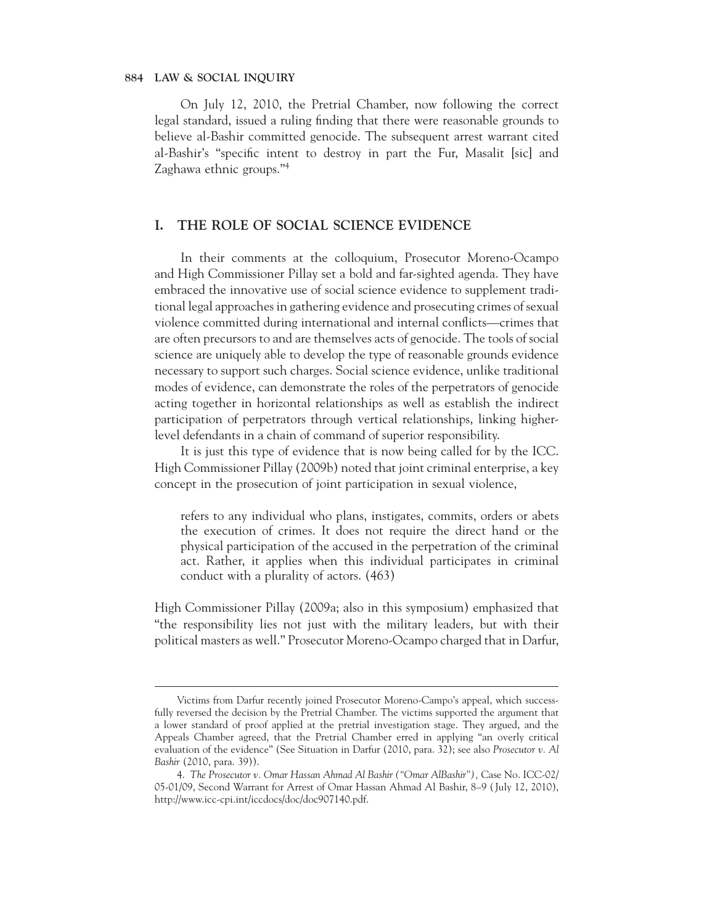On July 12, 2010, the Pretrial Chamber, now following the correct legal standard, issued a ruling finding that there were reasonable grounds to believe al-Bashir committed genocide. The subsequent arrest warrant cited al-Bashir's "specific intent to destroy in part the Fur, Masalit [sic] and Zaghawa ethnic groups."4

# **I. THE ROLE OF SOCIAL SCIENCE EVIDENCE**

In their comments at the colloquium, Prosecutor Moreno-Ocampo and High Commissioner Pillay set a bold and far-sighted agenda. They have embraced the innovative use of social science evidence to supplement traditional legal approaches in gathering evidence and prosecuting crimes of sexual violence committed during international and internal conflicts—crimes that are often precursors to and are themselves acts of genocide. The tools of social science are uniquely able to develop the type of reasonable grounds evidence necessary to support such charges. Social science evidence, unlike traditional modes of evidence, can demonstrate the roles of the perpetrators of genocide acting together in horizontal relationships as well as establish the indirect participation of perpetrators through vertical relationships, linking higherlevel defendants in a chain of command of superior responsibility.

It is just this type of evidence that is now being called for by the ICC. High Commissioner Pillay (2009b) noted that joint criminal enterprise, a key concept in the prosecution of joint participation in sexual violence,

refers to any individual who plans, instigates, commits, orders or abets the execution of crimes. It does not require the direct hand or the physical participation of the accused in the perpetration of the criminal act. Rather, it applies when this individual participates in criminal conduct with a plurality of actors. (463)

High Commissioner Pillay (2009a; also in this symposium) emphasized that "the responsibility lies not just with the military leaders, but with their political masters as well." Prosecutor Moreno-Ocampo charged that in Darfur,

Victims from Darfur recently joined Prosecutor Moreno-Campo's appeal, which successfully reversed the decision by the Pretrial Chamber. The victims supported the argument that a lower standard of proof applied at the pretrial investigation stage. They argued, and the Appeals Chamber agreed, that the Pretrial Chamber erred in applying "an overly critical evaluation of the evidence" (See Situation in Darfur (2010, para. 32); see also *Prosecutor v. Al Bashir* (2010, para. 39)).

<sup>4.</sup> *The Prosecutor v. Omar Hassan Ahmad Al Bashir ("Omar AlBashir"),* Case No. ICC-02/ 05-01/09, Second Warrant for Arrest of Omar Hassan Ahmad Al Bashir, 8–9 ( July 12, 2010), http://www.icc-cpi.int/iccdocs/doc/doc907140.pdf.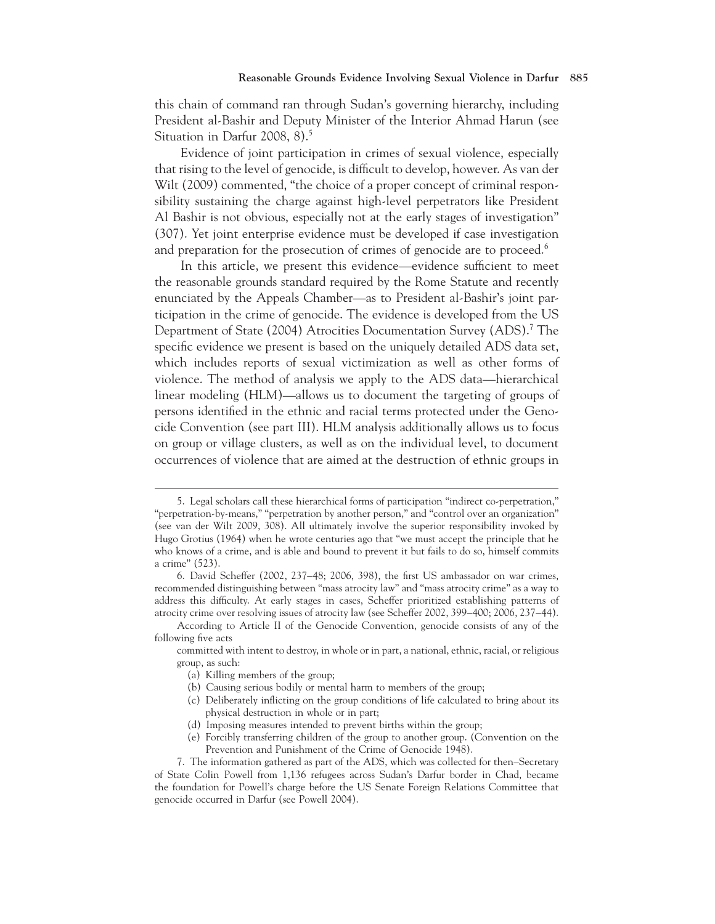this chain of command ran through Sudan's governing hierarchy, including President al-Bashir and Deputy Minister of the Interior Ahmad Harun (see Situation in Darfur 2008, 8).<sup>5</sup>

Evidence of joint participation in crimes of sexual violence, especially that rising to the level of genocide, is difficult to develop, however. As van der Wilt (2009) commented, "the choice of a proper concept of criminal responsibility sustaining the charge against high-level perpetrators like President Al Bashir is not obvious, especially not at the early stages of investigation" (307). Yet joint enterprise evidence must be developed if case investigation and preparation for the prosecution of crimes of genocide are to proceed.<sup>6</sup>

In this article, we present this evidence—evidence sufficient to meet the reasonable grounds standard required by the Rome Statute and recently enunciated by the Appeals Chamber—as to President al-Bashir's joint participation in the crime of genocide. The evidence is developed from the US Department of State (2004) Atrocities Documentation Survey (ADS).<sup>7</sup> The specific evidence we present is based on the uniquely detailed ADS data set, which includes reports of sexual victimization as well as other forms of violence. The method of analysis we apply to the ADS data—hierarchical linear modeling (HLM)—allows us to document the targeting of groups of persons identified in the ethnic and racial terms protected under the Genocide Convention (see part III). HLM analysis additionally allows us to focus on group or village clusters, as well as on the individual level, to document occurrences of violence that are aimed at the destruction of ethnic groups in

- (b) Causing serious bodily or mental harm to members of the group;
- (c) Deliberately inflicting on the group conditions of life calculated to bring about its physical destruction in whole or in part;
- (d) Imposing measures intended to prevent births within the group;
- (e) Forcibly transferring children of the group to another group. (Convention on the Prevention and Punishment of the Crime of Genocide 1948).

<sup>5.</sup> Legal scholars call these hierarchical forms of participation "indirect co-perpetration," "perpetration-by-means," "perpetration by another person," and "control over an organization" (see van der Wilt 2009, 308). All ultimately involve the superior responsibility invoked by Hugo Grotius (1964) when he wrote centuries ago that "we must accept the principle that he who knows of a crime, and is able and bound to prevent it but fails to do so, himself commits a crime" (523).

<sup>6.</sup> David Scheffer (2002, 237-48; 2006, 398), the first US ambassador on war crimes, recommended distinguishing between "mass atrocity law" and "mass atrocity crime" as a way to address this difficulty. At early stages in cases, Scheffer prioritized establishing patterns of atrocity crime over resolving issues of atrocity law (see Scheffer 2002, 399-400; 2006, 237-44).

According to Article II of the Genocide Convention, genocide consists of any of the following five acts

committed with intent to destroy, in whole or in part, a national, ethnic, racial, or religious group, as such:

<sup>(</sup>a) Killing members of the group;

<sup>7.</sup> The information gathered as part of the ADS, which was collected for then–Secretary of State Colin Powell from 1,136 refugees across Sudan's Darfur border in Chad, became the foundation for Powell's charge before the US Senate Foreign Relations Committee that genocide occurred in Darfur (see Powell 2004).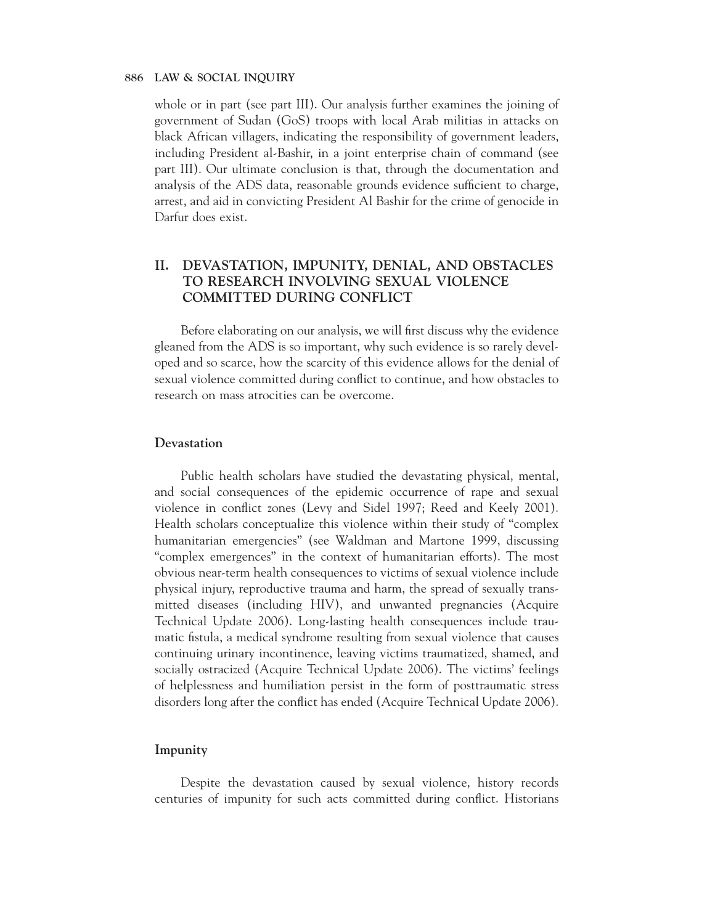whole or in part (see part III). Our analysis further examines the joining of government of Sudan (GoS) troops with local Arab militias in attacks on black African villagers, indicating the responsibility of government leaders, including President al-Bashir, in a joint enterprise chain of command (see part III). Our ultimate conclusion is that, through the documentation and analysis of the ADS data, reasonable grounds evidence sufficient to charge, arrest, and aid in convicting President Al Bashir for the crime of genocide in Darfur does exist.

# **II. DEVASTATION, IMPUNITY, DENIAL, AND OBSTACLES TO RESEARCH INVOLVING SEXUAL VIOLENCE COMMITTED DURING CONFLICT**

Before elaborating on our analysis, we will first discuss why the evidence gleaned from the ADS is so important, why such evidence is so rarely developed and so scarce, how the scarcity of this evidence allows for the denial of sexual violence committed during conflict to continue, and how obstacles to research on mass atrocities can be overcome.

#### **Devastation**

Public health scholars have studied the devastating physical, mental, and social consequences of the epidemic occurrence of rape and sexual violence in conflict zones (Levy and Sidel 1997; Reed and Keely 2001). Health scholars conceptualize this violence within their study of "complex humanitarian emergencies" (see Waldman and Martone 1999, discussing "complex emergences" in the context of humanitarian efforts). The most obvious near-term health consequences to victims of sexual violence include physical injury, reproductive trauma and harm, the spread of sexually transmitted diseases (including HIV), and unwanted pregnancies (Acquire Technical Update 2006). Long-lasting health consequences include traumatic fistula, a medical syndrome resulting from sexual violence that causes continuing urinary incontinence, leaving victims traumatized, shamed, and socially ostracized (Acquire Technical Update 2006). The victims' feelings of helplessness and humiliation persist in the form of posttraumatic stress disorders long after the conflict has ended (Acquire Technical Update 2006).

#### **Impunity**

Despite the devastation caused by sexual violence, history records centuries of impunity for such acts committed during conflict. Historians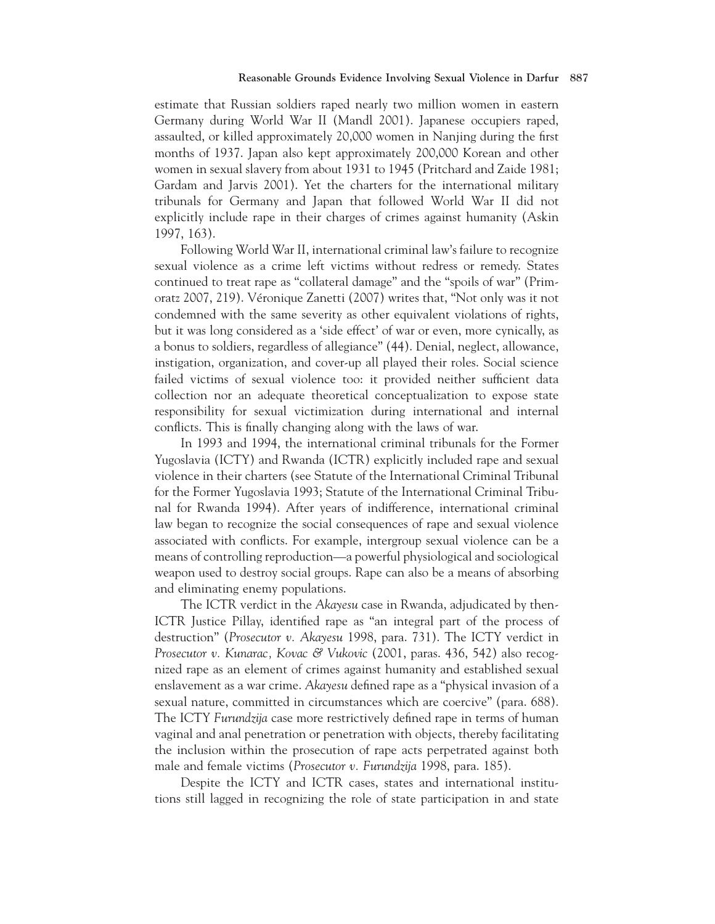estimate that Russian soldiers raped nearly two million women in eastern Germany during World War II (Mandl 2001). Japanese occupiers raped, assaulted, or killed approximately 20,000 women in Nanjing during the first months of 1937. Japan also kept approximately 200,000 Korean and other women in sexual slavery from about 1931 to 1945 (Pritchard and Zaide 1981; Gardam and Jarvis 2001). Yet the charters for the international military tribunals for Germany and Japan that followed World War II did not explicitly include rape in their charges of crimes against humanity (Askin 1997, 163).

Following World War II, international criminal law's failure to recognize sexual violence as a crime left victims without redress or remedy. States continued to treat rape as "collateral damage" and the "spoils of war" (Primoratz 2007, 219). Véronique Zanetti (2007) writes that, "Not only was it not condemned with the same severity as other equivalent violations of rights, but it was long considered as a 'side effect' of war or even, more cynically, as a bonus to soldiers, regardless of allegiance" (44). Denial, neglect, allowance, instigation, organization, and cover-up all played their roles. Social science failed victims of sexual violence too: it provided neither sufficient data collection nor an adequate theoretical conceptualization to expose state responsibility for sexual victimization during international and internal conflicts. This is finally changing along with the laws of war.

In 1993 and 1994, the international criminal tribunals for the Former Yugoslavia (ICTY) and Rwanda (ICTR) explicitly included rape and sexual violence in their charters (see Statute of the International Criminal Tribunal for the Former Yugoslavia 1993; Statute of the International Criminal Tribunal for Rwanda 1994). After years of indifference, international criminal law began to recognize the social consequences of rape and sexual violence associated with conflicts. For example, intergroup sexual violence can be a means of controlling reproduction—a powerful physiological and sociological weapon used to destroy social groups. Rape can also be a means of absorbing and eliminating enemy populations.

The ICTR verdict in the *Akayesu* case in Rwanda, adjudicated by then-ICTR Justice Pillay, identified rape as "an integral part of the process of destruction" (*Prosecutor v. Akayesu* 1998, para. 731). The ICTY verdict in *Prosecutor v. Kunarac, Kovac & Vukovic* (2001, paras. 436, 542) also recognized rape as an element of crimes against humanity and established sexual enslavement as a war crime. *Akayesu* defined rape as a "physical invasion of a sexual nature, committed in circumstances which are coercive" (para. 688). The ICTY *Furundzija* case more restrictively defined rape in terms of human vaginal and anal penetration or penetration with objects, thereby facilitating the inclusion within the prosecution of rape acts perpetrated against both male and female victims (*Prosecutor v. Furundzija* 1998, para. 185).

Despite the ICTY and ICTR cases, states and international institutions still lagged in recognizing the role of state participation in and state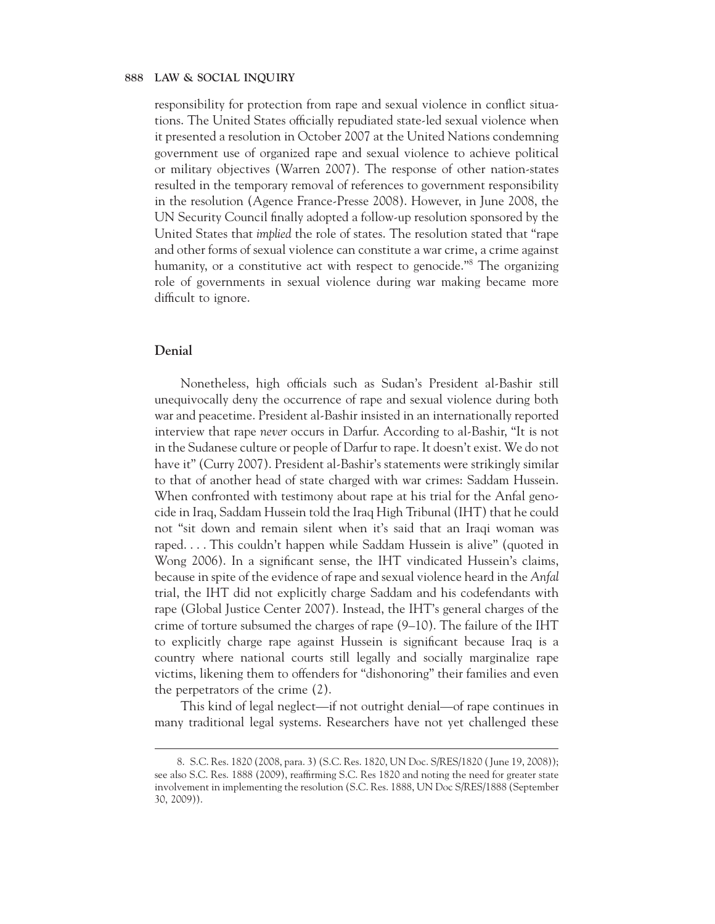responsibility for protection from rape and sexual violence in conflict situations. The United States officially repudiated state-led sexual violence when it presented a resolution in October 2007 at the United Nations condemning government use of organized rape and sexual violence to achieve political or military objectives (Warren 2007). The response of other nation-states resulted in the temporary removal of references to government responsibility in the resolution (Agence France-Presse 2008). However, in June 2008, the UN Security Council finally adopted a follow-up resolution sponsored by the United States that *implied* the role of states. The resolution stated that "rape and other forms of sexual violence can constitute a war crime, a crime against humanity, or a constitutive act with respect to genocide.<sup>"8</sup> The organizing role of governments in sexual violence during war making became more difficult to ignore.

#### **Denial**

Nonetheless, high officials such as Sudan's President al-Bashir still unequivocally deny the occurrence of rape and sexual violence during both war and peacetime. President al-Bashir insisted in an internationally reported interview that rape *never* occurs in Darfur. According to al-Bashir, "It is not in the Sudanese culture or people of Darfur to rape. It doesn't exist. We do not have it" (Curry 2007). President al-Bashir's statements were strikingly similar to that of another head of state charged with war crimes: Saddam Hussein. When confronted with testimony about rape at his trial for the Anfal genocide in Iraq, Saddam Hussein told the Iraq High Tribunal (IHT) that he could not "sit down and remain silent when it's said that an Iraqi woman was raped.... This couldn't happen while Saddam Hussein is alive" (quoted in Wong 2006). In a significant sense, the IHT vindicated Hussein's claims, because in spite of the evidence of rape and sexual violence heard in the *Anfal* trial, the IHT did not explicitly charge Saddam and his codefendants with rape (Global Justice Center 2007). Instead, the IHT's general charges of the crime of torture subsumed the charges of rape (9–10). The failure of the IHT to explicitly charge rape against Hussein is significant because Iraq is a country where national courts still legally and socially marginalize rape victims, likening them to offenders for "dishonoring" their families and even the perpetrators of the crime (2).

This kind of legal neglect—if not outright denial—of rape continues in many traditional legal systems. Researchers have not yet challenged these

<sup>8.</sup> S.C. Res. 1820 (2008, para. 3) (S.C. Res. 1820, UN Doc. S/RES/1820 ( June 19, 2008)); see also S.C. Res. 1888 (2009), reaffirming S.C. Res 1820 and noting the need for greater state involvement in implementing the resolution (S.C. Res. 1888, UN Doc S/RES/1888 (September 30, 2009)).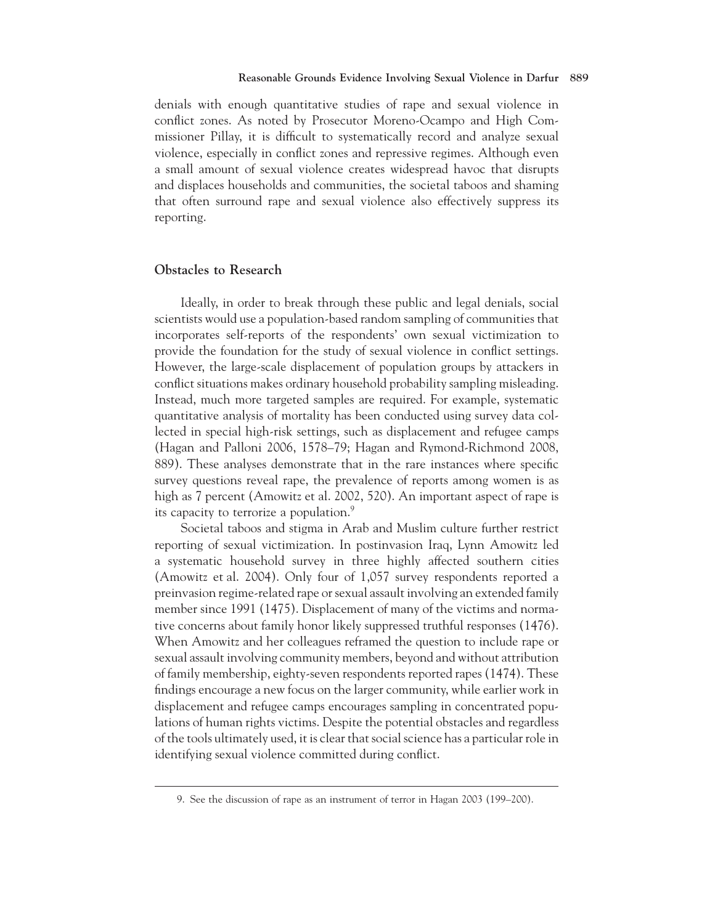denials with enough quantitative studies of rape and sexual violence in conflict zones. As noted by Prosecutor Moreno-Ocampo and High Commissioner Pillay, it is difficult to systematically record and analyze sexual violence, especially in conflict zones and repressive regimes. Although even a small amount of sexual violence creates widespread havoc that disrupts and displaces households and communities, the societal taboos and shaming that often surround rape and sexual violence also effectively suppress its reporting.

#### **Obstacles to Research**

Ideally, in order to break through these public and legal denials, social scientists would use a population-based random sampling of communities that incorporates self-reports of the respondents' own sexual victimization to provide the foundation for the study of sexual violence in conflict settings. However, the large-scale displacement of population groups by attackers in conflict situations makes ordinary household probability sampling misleading. Instead, much more targeted samples are required. For example, systematic quantitative analysis of mortality has been conducted using survey data collected in special high-risk settings, such as displacement and refugee camps (Hagan and Palloni 2006, 1578–79; Hagan and Rymond-Richmond 2008, 889). These analyses demonstrate that in the rare instances where specific survey questions reveal rape, the prevalence of reports among women is as high as 7 percent (Amowitz et al. 2002, 520). An important aspect of rape is its capacity to terrorize a population.<sup>9</sup>

Societal taboos and stigma in Arab and Muslim culture further restrict reporting of sexual victimization. In postinvasion Iraq, Lynn Amowitz led a systematic household survey in three highly affected southern cities (Amowitz et al. 2004). Only four of 1,057 survey respondents reported a preinvasion regime-related rape or sexual assault involving an extended family member since 1991 (1475). Displacement of many of the victims and normative concerns about family honor likely suppressed truthful responses (1476). When Amowitz and her colleagues reframed the question to include rape or sexual assault involving community members, beyond and without attribution of family membership, eighty-seven respondents reported rapes (1474). These findings encourage a new focus on the larger community, while earlier work in displacement and refugee camps encourages sampling in concentrated populations of human rights victims. Despite the potential obstacles and regardless of the tools ultimately used, it is clear that social science has a particular role in identifying sexual violence committed during conflict.

<sup>9.</sup> See the discussion of rape as an instrument of terror in Hagan 2003 (199–200).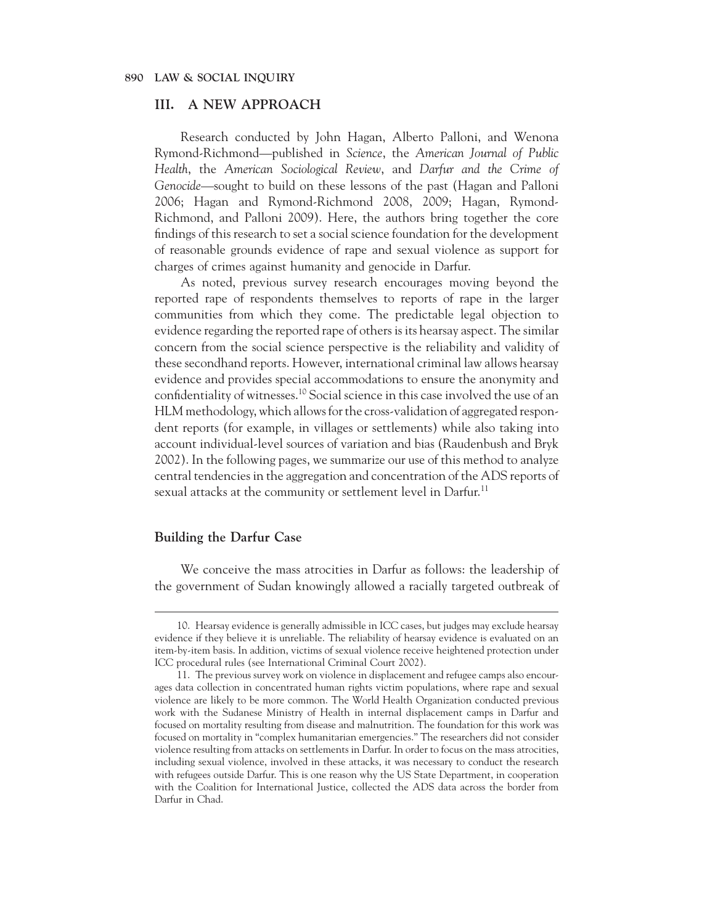#### **III. A NEW APPROACH**

Research conducted by John Hagan, Alberto Palloni, and Wenona Rymond-Richmond—published in *Science*, the *American Journal of Public Health*, the *American Sociological Review*, and *Darfur and the Crime of Genocide*—sought to build on these lessons of the past (Hagan and Palloni 2006; Hagan and Rymond-Richmond 2008, 2009; Hagan, Rymond-Richmond, and Palloni 2009). Here, the authors bring together the core findings of this research to set a social science foundation for the development of reasonable grounds evidence of rape and sexual violence as support for charges of crimes against humanity and genocide in Darfur.

As noted, previous survey research encourages moving beyond the reported rape of respondents themselves to reports of rape in the larger communities from which they come. The predictable legal objection to evidence regarding the reported rape of others is its hearsay aspect. The similar concern from the social science perspective is the reliability and validity of these secondhand reports. However, international criminal law allows hearsay evidence and provides special accommodations to ensure the anonymity and confidentiality of witnesses.<sup>10</sup> Social science in this case involved the use of an HLM methodology, which allows for the cross-validation of aggregated respondent reports (for example, in villages or settlements) while also taking into account individual-level sources of variation and bias (Raudenbush and Bryk 2002). In the following pages, we summarize our use of this method to analyze central tendencies in the aggregation and concentration of the ADS reports of sexual attacks at the community or settlement level in Darfur. $^{11}$ 

#### **Building the Darfur Case**

We conceive the mass atrocities in Darfur as follows: the leadership of the government of Sudan knowingly allowed a racially targeted outbreak of

<sup>10.</sup> Hearsay evidence is generally admissible in ICC cases, but judges may exclude hearsay evidence if they believe it is unreliable. The reliability of hearsay evidence is evaluated on an item-by-item basis. In addition, victims of sexual violence receive heightened protection under ICC procedural rules (see International Criminal Court 2002).

<sup>11.</sup> The previous survey work on violence in displacement and refugee camps also encourages data collection in concentrated human rights victim populations, where rape and sexual violence are likely to be more common. The World Health Organization conducted previous work with the Sudanese Ministry of Health in internal displacement camps in Darfur and focused on mortality resulting from disease and malnutrition. The foundation for this work was focused on mortality in "complex humanitarian emergencies." The researchers did not consider violence resulting from attacks on settlements in Darfur. In order to focus on the mass atrocities, including sexual violence, involved in these attacks, it was necessary to conduct the research with refugees outside Darfur. This is one reason why the US State Department, in cooperation with the Coalition for International Justice, collected the ADS data across the border from Darfur in Chad.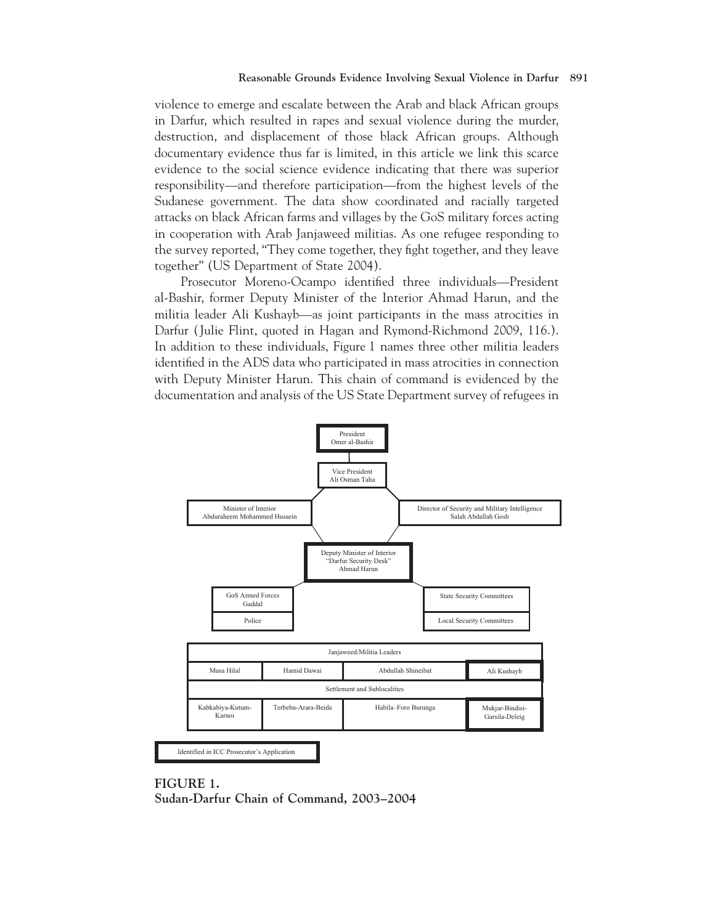violence to emerge and escalate between the Arab and black African groups in Darfur, which resulted in rapes and sexual violence during the murder, destruction, and displacement of those black African groups. Although documentary evidence thus far is limited, in this article we link this scarce evidence to the social science evidence indicating that there was superior responsibility—and therefore participation—from the highest levels of the Sudanese government. The data show coordinated and racially targeted attacks on black African farms and villages by the GoS military forces acting in cooperation with Arab Janjaweed militias. As one refugee responding to the survey reported, "They come together, they fight together, and they leave together" (US Department of State 2004).

Prosecutor Moreno-Ocampo identified three individuals—President al-Bashir, former Deputy Minister of the Interior Ahmad Harun, and the militia leader Ali Kushayb—as joint participants in the mass atrocities in Darfur ( Julie Flint, quoted in Hagan and Rymond-Richmond 2009, 116.). In addition to these individuals, Figure 1 names three other militia leaders identified in the ADS data who participated in mass atrocities in connection with Deputy Minister Harun. This chain of command is evidenced by the documentation and analysis of the US State Department survey of refugees in



**FIGURE 1. Sudan-Darfur Chain of Command, 2003–2004**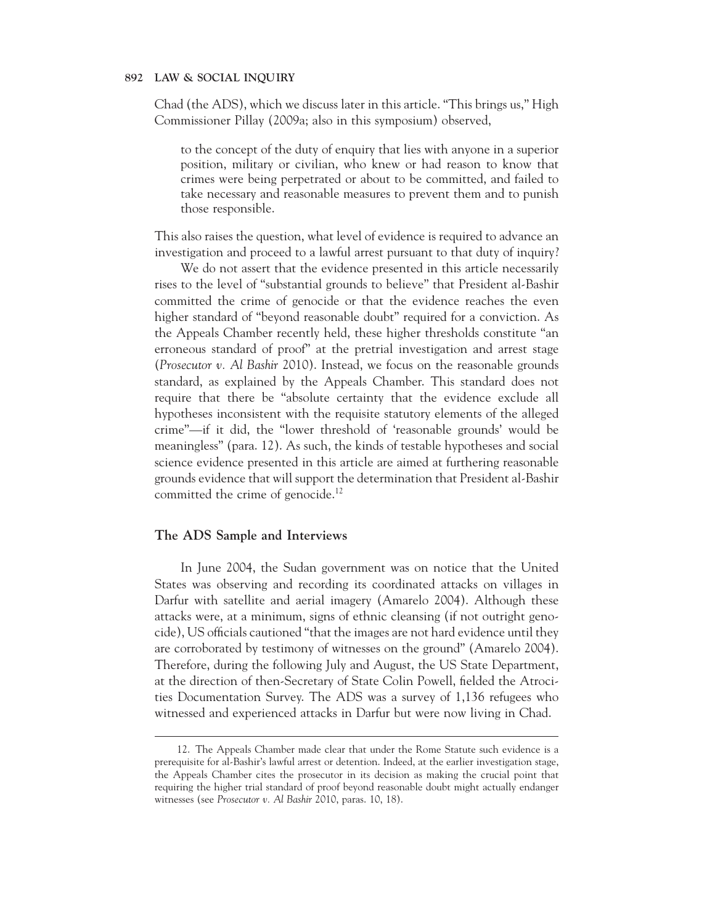Chad (the ADS), which we discuss later in this article. "This brings us," High Commissioner Pillay (2009a; also in this symposium) observed,

to the concept of the duty of enquiry that lies with anyone in a superior position, military or civilian, who knew or had reason to know that crimes were being perpetrated or about to be committed, and failed to take necessary and reasonable measures to prevent them and to punish those responsible.

This also raises the question, what level of evidence is required to advance an investigation and proceed to a lawful arrest pursuant to that duty of inquiry?

We do not assert that the evidence presented in this article necessarily rises to the level of "substantial grounds to believe" that President al-Bashir committed the crime of genocide or that the evidence reaches the even higher standard of "beyond reasonable doubt" required for a conviction. As the Appeals Chamber recently held, these higher thresholds constitute "an erroneous standard of proof" at the pretrial investigation and arrest stage (*Prosecutor v. Al Bashir* 2010). Instead, we focus on the reasonable grounds standard, as explained by the Appeals Chamber. This standard does not require that there be "absolute certainty that the evidence exclude all hypotheses inconsistent with the requisite statutory elements of the alleged crime"—if it did, the "lower threshold of 'reasonable grounds' would be meaningless" (para. 12). As such, the kinds of testable hypotheses and social science evidence presented in this article are aimed at furthering reasonable grounds evidence that will support the determination that President al-Bashir committed the crime of genocide.<sup>12</sup>

#### **The ADS Sample and Interviews**

In June 2004, the Sudan government was on notice that the United States was observing and recording its coordinated attacks on villages in Darfur with satellite and aerial imagery (Amarelo 2004). Although these attacks were, at a minimum, signs of ethnic cleansing (if not outright genocide), US officials cautioned "that the images are not hard evidence until they are corroborated by testimony of witnesses on the ground" (Amarelo 2004). Therefore, during the following July and August, the US State Department, at the direction of then-Secretary of State Colin Powell, fielded the Atrocities Documentation Survey. The ADS was a survey of 1,136 refugees who witnessed and experienced attacks in Darfur but were now living in Chad.

<sup>12.</sup> The Appeals Chamber made clear that under the Rome Statute such evidence is a prerequisite for al-Bashir's lawful arrest or detention. Indeed, at the earlier investigation stage, the Appeals Chamber cites the prosecutor in its decision as making the crucial point that requiring the higher trial standard of proof beyond reasonable doubt might actually endanger witnesses (see *Prosecutor v. Al Bashir* 2010, paras. 10, 18).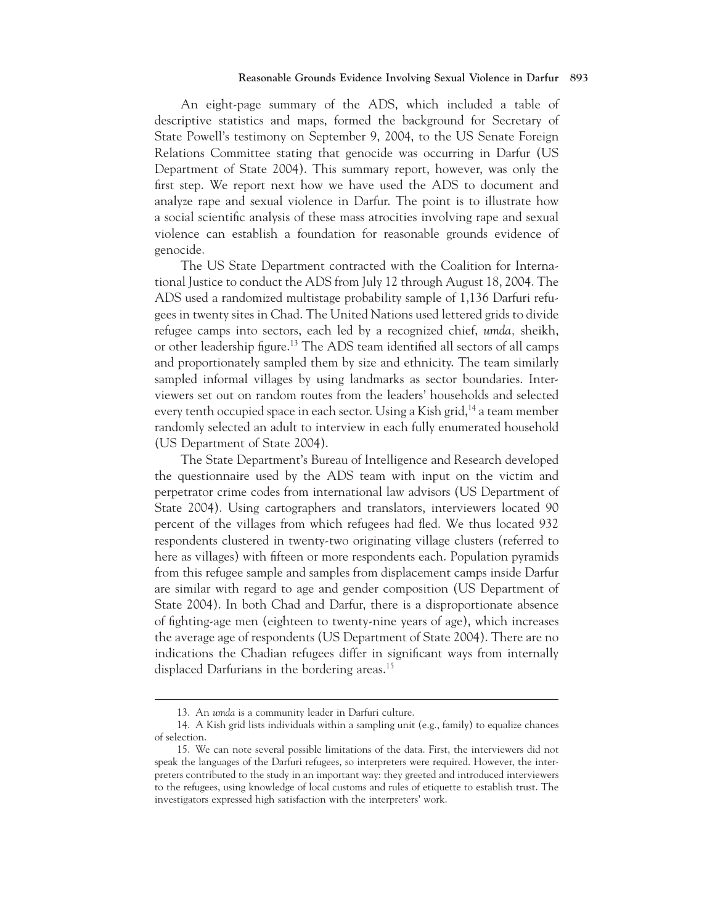An eight-page summary of the ADS, which included a table of descriptive statistics and maps, formed the background for Secretary of State Powell's testimony on September 9, 2004, to the US Senate Foreign Relations Committee stating that genocide was occurring in Darfur (US Department of State 2004). This summary report, however, was only the first step. We report next how we have used the ADS to document and analyze rape and sexual violence in Darfur. The point is to illustrate how a social scientific analysis of these mass atrocities involving rape and sexual violence can establish a foundation for reasonable grounds evidence of genocide.

The US State Department contracted with the Coalition for International Justice to conduct the ADS from July 12 through August 18, 2004. The ADS used a randomized multistage probability sample of 1,136 Darfuri refugees in twenty sites in Chad. The United Nations used lettered grids to divide refugee camps into sectors, each led by a recognized chief, *umda,* sheikh, or other leadership figure.<sup>13</sup> The ADS team identified all sectors of all camps and proportionately sampled them by size and ethnicity. The team similarly sampled informal villages by using landmarks as sector boundaries. Interviewers set out on random routes from the leaders' households and selected every tenth occupied space in each sector. Using a Kish grid,<sup>14</sup> a team member randomly selected an adult to interview in each fully enumerated household (US Department of State 2004).

The State Department's Bureau of Intelligence and Research developed the questionnaire used by the ADS team with input on the victim and perpetrator crime codes from international law advisors (US Department of State 2004). Using cartographers and translators, interviewers located 90 percent of the villages from which refugees had fled. We thus located 932 respondents clustered in twenty-two originating village clusters (referred to here as villages) with fifteen or more respondents each. Population pyramids from this refugee sample and samples from displacement camps inside Darfur are similar with regard to age and gender composition (US Department of State 2004). In both Chad and Darfur, there is a disproportionate absence of fighting-age men (eighteen to twenty-nine years of age), which increases the average age of respondents (US Department of State 2004). There are no indications the Chadian refugees differ in significant ways from internally displaced Darfurians in the bordering areas.<sup>15</sup>

<sup>13.</sup> An *umda* is a community leader in Darfuri culture.

<sup>14.</sup> A Kish grid lists individuals within a sampling unit (e.g., family) to equalize chances of selection.

<sup>15.</sup> We can note several possible limitations of the data. First, the interviewers did not speak the languages of the Darfuri refugees, so interpreters were required. However, the interpreters contributed to the study in an important way: they greeted and introduced interviewers to the refugees, using knowledge of local customs and rules of etiquette to establish trust. The investigators expressed high satisfaction with the interpreters' work.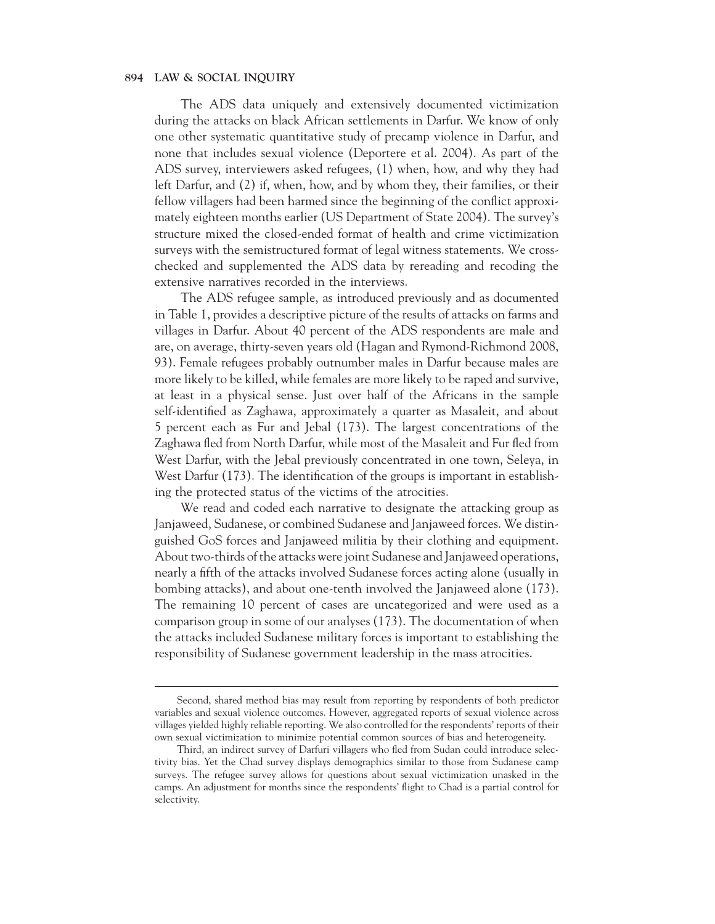The ADS data uniquely and extensively documented victimization during the attacks on black African settlements in Darfur. We know of only one other systematic quantitative study of precamp violence in Darfur, and none that includes sexual violence (Deportere et al. 2004). As part of the ADS survey, interviewers asked refugees, (1) when, how, and why they had left Darfur, and (2) if, when, how, and by whom they, their families, or their fellow villagers had been harmed since the beginning of the conflict approximately eighteen months earlier (US Department of State 2004). The survey's structure mixed the closed-ended format of health and crime victimization surveys with the semistructured format of legal witness statements. We crosschecked and supplemented the ADS data by rereading and recoding the extensive narratives recorded in the interviews.

The ADS refugee sample, as introduced previously and as documented in Table 1, provides a descriptive picture of the results of attacks on farms and villages in Darfur. About 40 percent of the ADS respondents are male and are, on average, thirty-seven years old (Hagan and Rymond-Richmond 2008, 93). Female refugees probably outnumber males in Darfur because males are more likely to be killed, while females are more likely to be raped and survive, at least in a physical sense. Just over half of the Africans in the sample self-identified as Zaghawa, approximately a quarter as Masaleit, and about 5 percent each as Fur and Jebal (173). The largest concentrations of the Zaghawa fled from North Darfur, while most of the Masaleit and Fur fled from West Darfur, with the Jebal previously concentrated in one town, Seleya, in West Darfur (173). The identification of the groups is important in establishing the protected status of the victims of the atrocities.

We read and coded each narrative to designate the attacking group as Janjaweed, Sudanese, or combined Sudanese and Janjaweed forces. We distinguished GoS forces and Janjaweed militia by their clothing and equipment. About two-thirds of the attacks were joint Sudanese and Janjaweed operations, nearly a fifth of the attacks involved Sudanese forces acting alone (usually in bombing attacks), and about one-tenth involved the Janjaweed alone (173). The remaining 10 percent of cases are uncategorized and were used as a comparison group in some of our analyses (173). The documentation of when the attacks included Sudanese military forces is important to establishing the responsibility of Sudanese government leadership in the mass atrocities.

Second, shared method bias may result from reporting by respondents of both predictor variables and sexual violence outcomes. However, aggregated reports of sexual violence across villages yielded highly reliable reporting. We also controlled for the respondents' reports of their own sexual victimization to minimize potential common sources of bias and heterogeneity.

Third, an indirect survey of Darfuri villagers who fled from Sudan could introduce selectivity bias. Yet the Chad survey displays demographics similar to those from Sudanese camp surveys. The refugee survey allows for questions about sexual victimization unasked in the camps. An adjustment for months since the respondents' flight to Chad is a partial control for selectivity.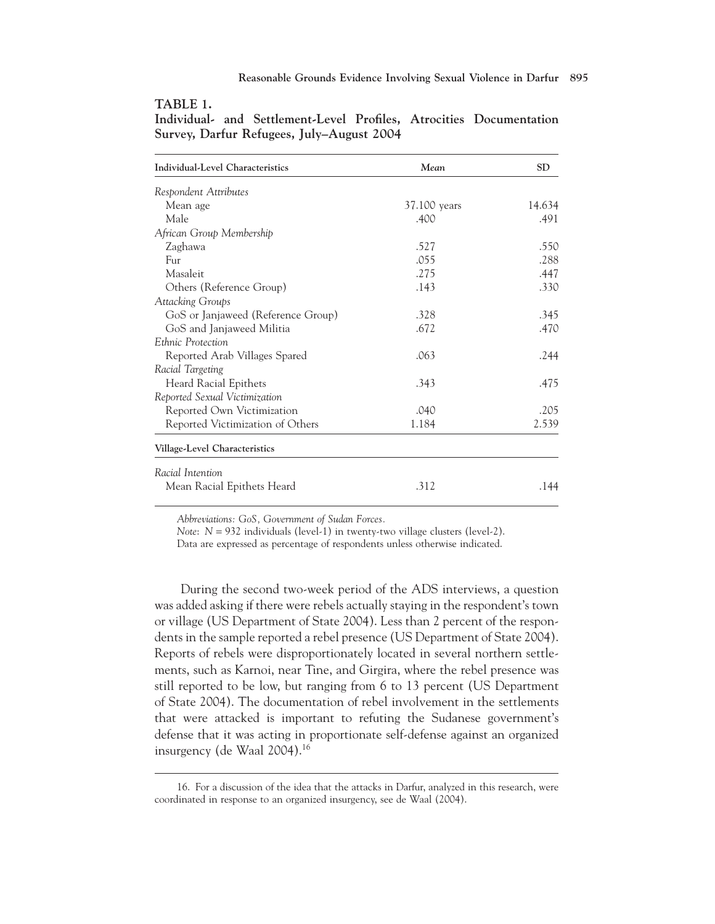# **TABLE 1.**

| Individual-Level Characteristics   | Mean         | <b>SD</b> |
|------------------------------------|--------------|-----------|
| Respondent Attributes              |              |           |
| Mean age                           | 37.100 years | 14.634    |
| Male                               | .400         | .491      |
| African Group Membership           |              |           |
| Zaghawa                            | .527         | .550      |
| Fur                                | .055         | .288      |
| Masaleit                           | .275         | .447      |
| Others (Reference Group)           | .143         | .330      |
| <b>Attacking Groups</b>            |              |           |
| GoS or Janjaweed (Reference Group) | .328         | .345      |
| GoS and Janjaweed Militia          | .672         | .470      |
| Ethnic Protection                  |              |           |
| Reported Arab Villages Spared      | .063         | .244      |
| Racial Targeting                   |              |           |
| Heard Racial Epithets              | .343         | .475      |
| Reported Sexual Victimization      |              |           |
| Reported Own Victimization         | .040         | .205      |
| Reported Victimization of Others   | 1.184        | 2.539     |
| Village-Level Characteristics      |              |           |
| Racial Intention                   |              |           |
| Mean Racial Epithets Heard         | .312         | .144      |

**Individual- and Settlement-Level Profiles, Atrocities Documentation Survey, Darfur Refugees, July–August 2004**

*Abbreviations: GoS, Government of Sudan Forces.*

*Note*: *N* = 932 individuals (level-1) in twenty-two village clusters (level-2).

Data are expressed as percentage of respondents unless otherwise indicated.

During the second two-week period of the ADS interviews, a question was added asking if there were rebels actually staying in the respondent's town or village (US Department of State 2004). Less than 2 percent of the respondents in the sample reported a rebel presence (US Department of State 2004). Reports of rebels were disproportionately located in several northern settlements, such as Karnoi, near Tine, and Girgira, where the rebel presence was still reported to be low, but ranging from 6 to 13 percent (US Department of State 2004). The documentation of rebel involvement in the settlements that were attacked is important to refuting the Sudanese government's defense that it was acting in proportionate self-defense against an organized insurgency (de Waal 2004).<sup>16</sup>

<sup>16.</sup> For a discussion of the idea that the attacks in Darfur, analyzed in this research, were coordinated in response to an organized insurgency, see de Waal (2004).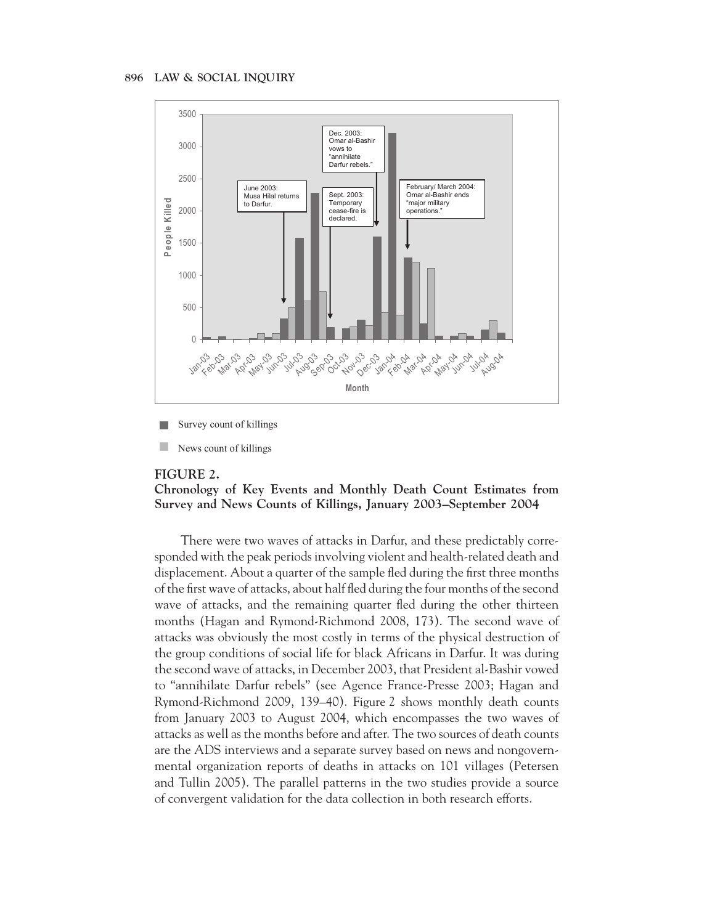

- Survey count of killings
- News count of killings

### **FIGURE 2.**

### **Chronology of Key Events and Monthly Death Count Estimates from Survey and News Counts of Killings, January 2003–September 2004**

There were two waves of attacks in Darfur, and these predictably corresponded with the peak periods involving violent and health-related death and displacement. About a quarter of the sample fled during the first three months of the first wave of attacks, about half fled during the four months of the second wave of attacks, and the remaining quarter fled during the other thirteen months (Hagan and Rymond-Richmond 2008, 173). The second wave of attacks was obviously the most costly in terms of the physical destruction of the group conditions of social life for black Africans in Darfur. It was during the second wave of attacks, in December 2003, that President al-Bashir vowed to "annihilate Darfur rebels" (see Agence France-Presse 2003; Hagan and Rymond-Richmond 2009, 139–40). Figure 2 shows monthly death counts from January 2003 to August 2004, which encompasses the two waves of attacks as well as the months before and after. The two sources of death counts are the ADS interviews and a separate survey based on news and nongovernmental organization reports of deaths in attacks on 101 villages (Petersen and Tullin 2005). The parallel patterns in the two studies provide a source of convergent validation for the data collection in both research efforts.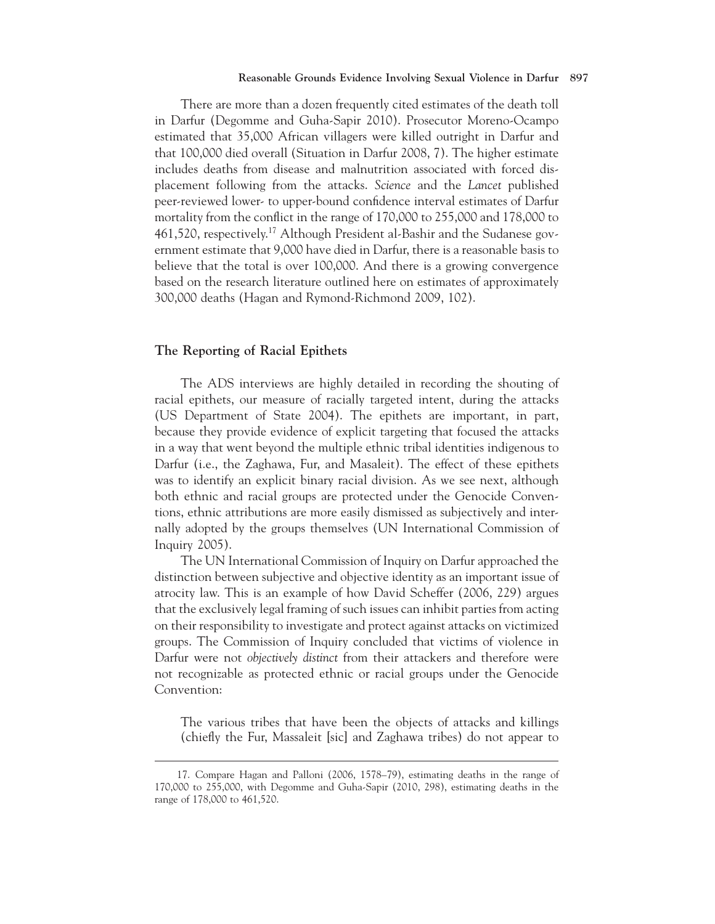#### **Reasonable Grounds Evidence Involving Sexual Violence in Darfur 897**

There are more than a dozen frequently cited estimates of the death toll in Darfur (Degomme and Guha-Sapir 2010). Prosecutor Moreno-Ocampo estimated that 35,000 African villagers were killed outright in Darfur and that 100,000 died overall (Situation in Darfur 2008, 7). The higher estimate includes deaths from disease and malnutrition associated with forced displacement following from the attacks. *Science* and the *Lancet* published peer-reviewed lower- to upper-bound confidence interval estimates of Darfur mortality from the conflict in the range of 170,000 to 255,000 and 178,000 to 461,520, respectively.<sup>17</sup> Although President al-Bashir and the Sudanese government estimate that 9,000 have died in Darfur, there is a reasonable basis to believe that the total is over 100,000. And there is a growing convergence based on the research literature outlined here on estimates of approximately 300,000 deaths (Hagan and Rymond-Richmond 2009, 102).

#### **The Reporting of Racial Epithets**

The ADS interviews are highly detailed in recording the shouting of racial epithets, our measure of racially targeted intent, during the attacks (US Department of State 2004). The epithets are important, in part, because they provide evidence of explicit targeting that focused the attacks in a way that went beyond the multiple ethnic tribal identities indigenous to Darfur (i.e., the Zaghawa, Fur, and Masaleit). The effect of these epithets was to identify an explicit binary racial division. As we see next, although both ethnic and racial groups are protected under the Genocide Conventions, ethnic attributions are more easily dismissed as subjectively and internally adopted by the groups themselves (UN International Commission of Inquiry 2005).

The UN International Commission of Inquiry on Darfur approached the distinction between subjective and objective identity as an important issue of atrocity law. This is an example of how David Scheffer (2006, 229) argues that the exclusively legal framing of such issues can inhibit parties from acting on their responsibility to investigate and protect against attacks on victimized groups. The Commission of Inquiry concluded that victims of violence in Darfur were not *objectively distinct* from their attackers and therefore were not recognizable as protected ethnic or racial groups under the Genocide Convention:

The various tribes that have been the objects of attacks and killings (chiefly the Fur, Massaleit [sic] and Zaghawa tribes) do not appear to

<sup>17.</sup> Compare Hagan and Palloni (2006, 1578–79), estimating deaths in the range of 170,000 to 255,000, with Degomme and Guha-Sapir (2010, 298), estimating deaths in the range of 178,000 to 461,520.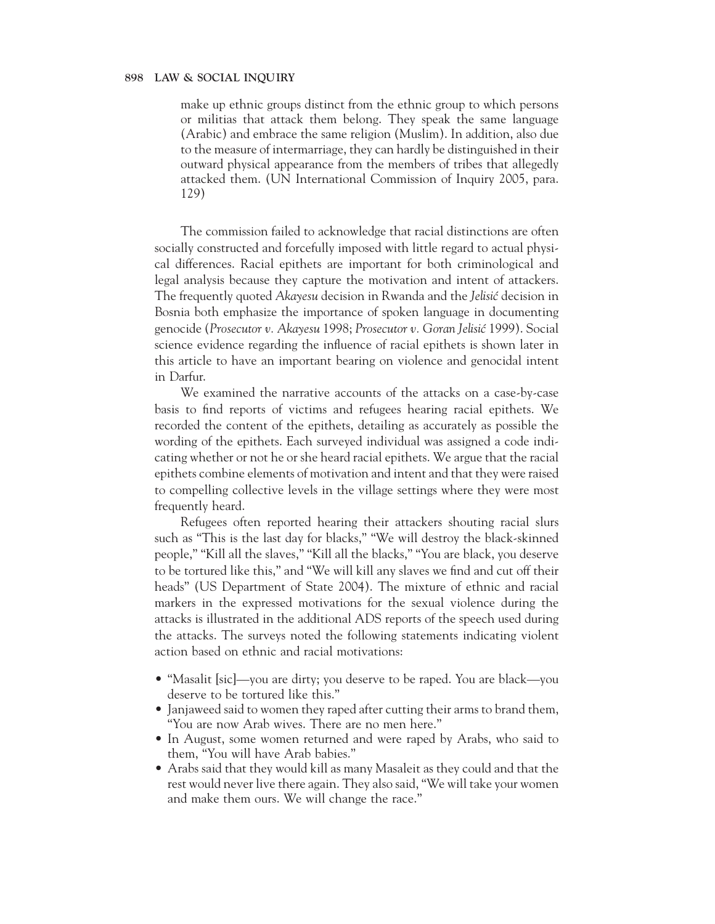make up ethnic groups distinct from the ethnic group to which persons or militias that attack them belong. They speak the same language (Arabic) and embrace the same religion (Muslim). In addition, also due to the measure of intermarriage, they can hardly be distinguished in their outward physical appearance from the members of tribes that allegedly attacked them. (UN International Commission of Inquiry 2005, para. 129)

The commission failed to acknowledge that racial distinctions are often socially constructed and forcefully imposed with little regard to actual physical differences. Racial epithets are important for both criminological and legal analysis because they capture the motivation and intent of attackers. The frequently quoted *Akayesu* decision in Rwanda and the *Jelisic´* decision in Bosnia both emphasize the importance of spoken language in documenting genocide (*Prosecutor v. Akayesu* 1998; *Prosecutor v. Goran Jelisic´* 1999). Social science evidence regarding the influence of racial epithets is shown later in this article to have an important bearing on violence and genocidal intent in Darfur.

We examined the narrative accounts of the attacks on a case-by-case basis to find reports of victims and refugees hearing racial epithets. We recorded the content of the epithets, detailing as accurately as possible the wording of the epithets. Each surveyed individual was assigned a code indicating whether or not he or she heard racial epithets. We argue that the racial epithets combine elements of motivation and intent and that they were raised to compelling collective levels in the village settings where they were most frequently heard.

Refugees often reported hearing their attackers shouting racial slurs such as "This is the last day for blacks," "We will destroy the black-skinned people," "Kill all the slaves," "Kill all the blacks," "You are black, you deserve to be tortured like this," and "We will kill any slaves we find and cut off their heads" (US Department of State 2004). The mixture of ethnic and racial markers in the expressed motivations for the sexual violence during the attacks is illustrated in the additional ADS reports of the speech used during the attacks. The surveys noted the following statements indicating violent action based on ethnic and racial motivations:

- "Masalit [sic]—you are dirty; you deserve to be raped. You are black—you deserve to be tortured like this."
- Janjaweed said to women they raped after cutting their arms to brand them, "You are now Arab wives. There are no men here."
- In August, some women returned and were raped by Arabs, who said to them, "You will have Arab babies."
- Arabs said that they would kill as many Masaleit as they could and that the rest would never live there again. They also said, "We will take your women and make them ours. We will change the race."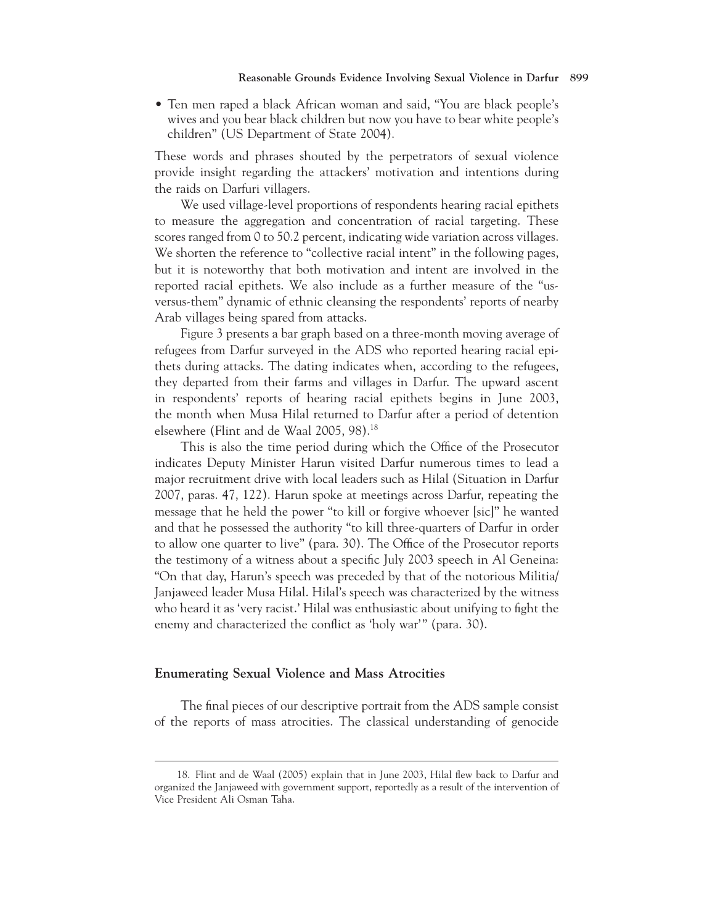• Ten men raped a black African woman and said, "You are black people's wives and you bear black children but now you have to bear white people's children" (US Department of State 2004).

These words and phrases shouted by the perpetrators of sexual violence provide insight regarding the attackers' motivation and intentions during the raids on Darfuri villagers.

We used village-level proportions of respondents hearing racial epithets to measure the aggregation and concentration of racial targeting. These scores ranged from 0 to 50.2 percent, indicating wide variation across villages. We shorten the reference to "collective racial intent" in the following pages, but it is noteworthy that both motivation and intent are involved in the reported racial epithets. We also include as a further measure of the "usversus-them" dynamic of ethnic cleansing the respondents' reports of nearby Arab villages being spared from attacks.

Figure 3 presents a bar graph based on a three-month moving average of refugees from Darfur surveyed in the ADS who reported hearing racial epithets during attacks. The dating indicates when, according to the refugees, they departed from their farms and villages in Darfur. The upward ascent in respondents' reports of hearing racial epithets begins in June 2003, the month when Musa Hilal returned to Darfur after a period of detention elsewhere (Flint and de Waal 2005, 98).<sup>18</sup>

This is also the time period during which the Office of the Prosecutor indicates Deputy Minister Harun visited Darfur numerous times to lead a major recruitment drive with local leaders such as Hilal (Situation in Darfur 2007, paras. 47, 122). Harun spoke at meetings across Darfur, repeating the message that he held the power "to kill or forgive whoever [sic]" he wanted and that he possessed the authority "to kill three-quarters of Darfur in order to allow one quarter to live" (para. 30). The Office of the Prosecutor reports the testimony of a witness about a specific July 2003 speech in Al Geneina: "On that day, Harun's speech was preceded by that of the notorious Militia/ Janjaweed leader Musa Hilal. Hilal's speech was characterized by the witness who heard it as 'very racist.' Hilal was enthusiastic about unifying to fight the enemy and characterized the conflict as 'holy war'" (para. 30).

#### **Enumerating Sexual Violence and Mass Atrocities**

The final pieces of our descriptive portrait from the ADS sample consist of the reports of mass atrocities. The classical understanding of genocide

<sup>18.</sup> Flint and de Waal (2005) explain that in June 2003, Hilal flew back to Darfur and organized the Janjaweed with government support, reportedly as a result of the intervention of Vice President Ali Osman Taha.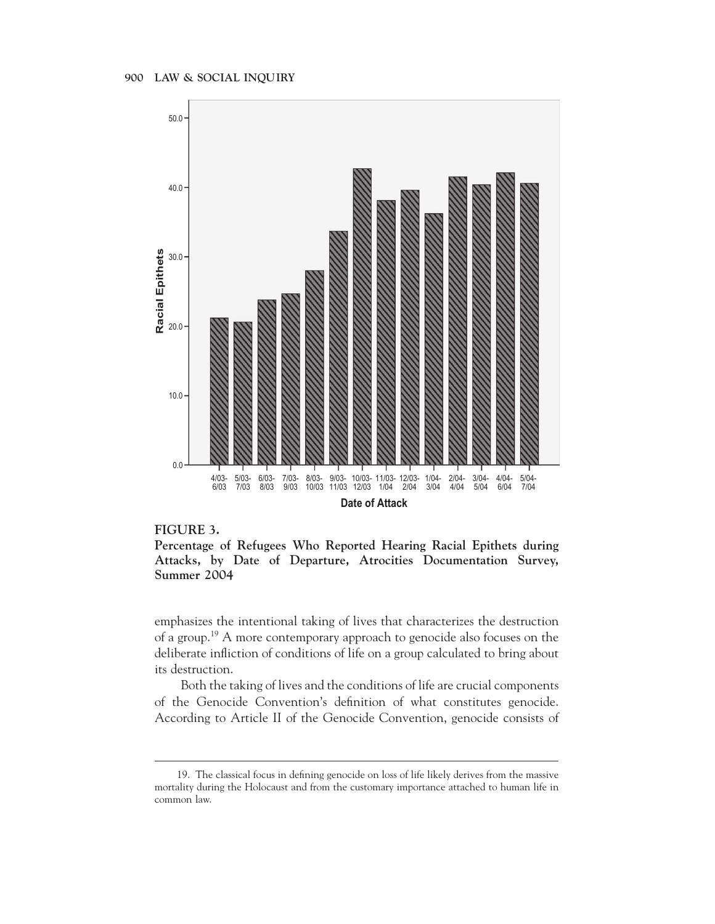

#### **FIGURE 3.**

**Percentage of Refugees Who Reported Hearing Racial Epithets during Attacks, by Date of Departure, Atrocities Documentation Survey, Summer 2004**

emphasizes the intentional taking of lives that characterizes the destruction of a group.19 A more contemporary approach to genocide also focuses on the deliberate infliction of conditions of life on a group calculated to bring about its destruction.

Both the taking of lives and the conditions of life are crucial components of the Genocide Convention's definition of what constitutes genocide. According to Article II of the Genocide Convention, genocide consists of

<sup>19.</sup> The classical focus in defining genocide on loss of life likely derives from the massive mortality during the Holocaust and from the customary importance attached to human life in common law.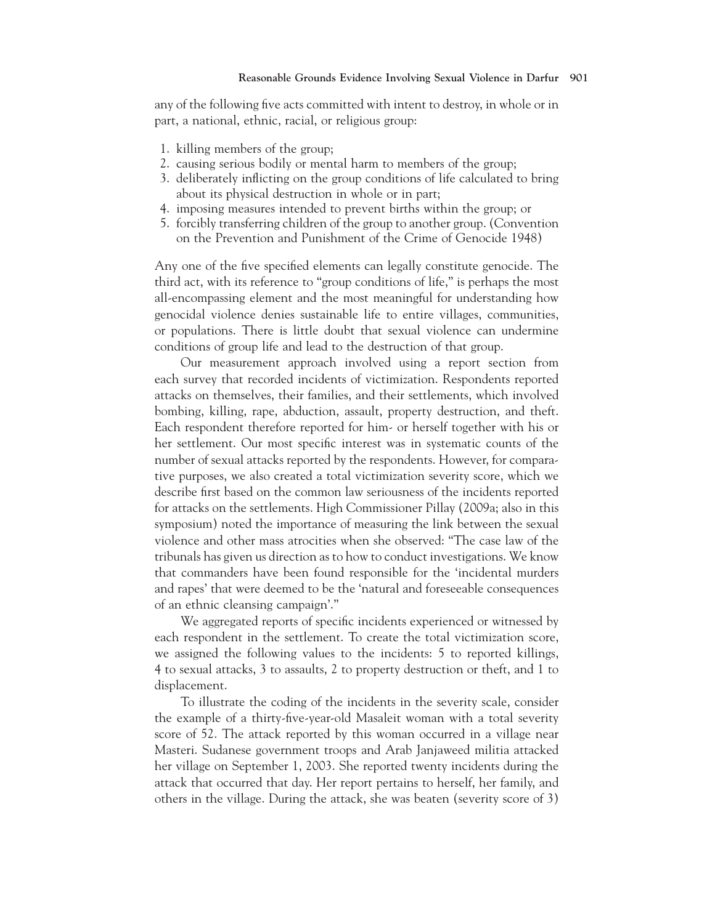any of the following five acts committed with intent to destroy, in whole or in part, a national, ethnic, racial, or religious group:

- 1. killing members of the group;
- 2. causing serious bodily or mental harm to members of the group;
- 3. deliberately inflicting on the group conditions of life calculated to bring about its physical destruction in whole or in part;
- 4. imposing measures intended to prevent births within the group; or
- 5. forcibly transferring children of the group to another group. (Convention on the Prevention and Punishment of the Crime of Genocide 1948)

Any one of the five specified elements can legally constitute genocide. The third act, with its reference to "group conditions of life," is perhaps the most all-encompassing element and the most meaningful for understanding how genocidal violence denies sustainable life to entire villages, communities, or populations. There is little doubt that sexual violence can undermine conditions of group life and lead to the destruction of that group.

Our measurement approach involved using a report section from each survey that recorded incidents of victimization. Respondents reported attacks on themselves, their families, and their settlements, which involved bombing, killing, rape, abduction, assault, property destruction, and theft. Each respondent therefore reported for him- or herself together with his or her settlement. Our most specific interest was in systematic counts of the number of sexual attacks reported by the respondents. However, for comparative purposes, we also created a total victimization severity score, which we describe first based on the common law seriousness of the incidents reported for attacks on the settlements. High Commissioner Pillay (2009a; also in this symposium) noted the importance of measuring the link between the sexual violence and other mass atrocities when she observed: "The case law of the tribunals has given us direction as to how to conduct investigations. We know that commanders have been found responsible for the 'incidental murders and rapes' that were deemed to be the 'natural and foreseeable consequences of an ethnic cleansing campaign'."

We aggregated reports of specific incidents experienced or witnessed by each respondent in the settlement. To create the total victimization score, we assigned the following values to the incidents: 5 to reported killings, 4 to sexual attacks, 3 to assaults, 2 to property destruction or theft, and 1 to displacement.

To illustrate the coding of the incidents in the severity scale, consider the example of a thirty-five-year-old Masaleit woman with a total severity score of 52. The attack reported by this woman occurred in a village near Masteri. Sudanese government troops and Arab Janjaweed militia attacked her village on September 1, 2003. She reported twenty incidents during the attack that occurred that day. Her report pertains to herself, her family, and others in the village. During the attack, she was beaten (severity score of 3)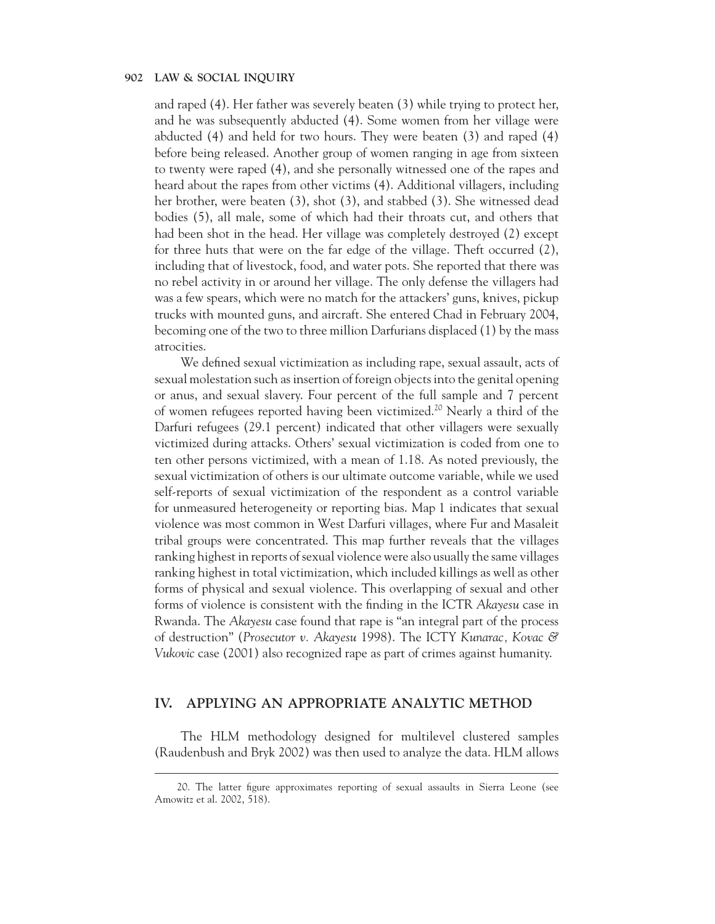and raped (4). Her father was severely beaten (3) while trying to protect her, and he was subsequently abducted (4). Some women from her village were abducted (4) and held for two hours. They were beaten (3) and raped (4) before being released. Another group of women ranging in age from sixteen to twenty were raped (4), and she personally witnessed one of the rapes and heard about the rapes from other victims (4). Additional villagers, including her brother, were beaten (3), shot (3), and stabbed (3). She witnessed dead bodies (5), all male, some of which had their throats cut, and others that had been shot in the head. Her village was completely destroyed (2) except for three huts that were on the far edge of the village. Theft occurred (2), including that of livestock, food, and water pots. She reported that there was no rebel activity in or around her village. The only defense the villagers had was a few spears, which were no match for the attackers' guns, knives, pickup trucks with mounted guns, and aircraft. She entered Chad in February 2004, becoming one of the two to three million Darfurians displaced (1) by the mass atrocities.

We defined sexual victimization as including rape, sexual assault, acts of sexual molestation such as insertion of foreign objects into the genital opening or anus, and sexual slavery. Four percent of the full sample and 7 percent of women refugees reported having been victimized.<sup>20</sup> Nearly a third of the Darfuri refugees (29.1 percent) indicated that other villagers were sexually victimized during attacks. Others' sexual victimization is coded from one to ten other persons victimized, with a mean of 1.18. As noted previously, the sexual victimization of others is our ultimate outcome variable, while we used self-reports of sexual victimization of the respondent as a control variable for unmeasured heterogeneity or reporting bias. Map 1 indicates that sexual violence was most common in West Darfuri villages, where Fur and Masaleit tribal groups were concentrated. This map further reveals that the villages ranking highest in reports of sexual violence were also usually the same villages ranking highest in total victimization, which included killings as well as other forms of physical and sexual violence. This overlapping of sexual and other forms of violence is consistent with the finding in the ICTR *Akayesu* case in Rwanda. The *Akayesu* case found that rape is "an integral part of the process of destruction" (*Prosecutor v. Akayesu* 1998). The ICTY *Kunarac, Kovac & Vukovic* case (2001) also recognized rape as part of crimes against humanity.

#### **IV. APPLYING AN APPROPRIATE ANALYTIC METHOD**

The HLM methodology designed for multilevel clustered samples (Raudenbush and Bryk 2002) was then used to analyze the data. HLM allows

<sup>20.</sup> The latter figure approximates reporting of sexual assaults in Sierra Leone (see Amowitz et al. 2002, 518).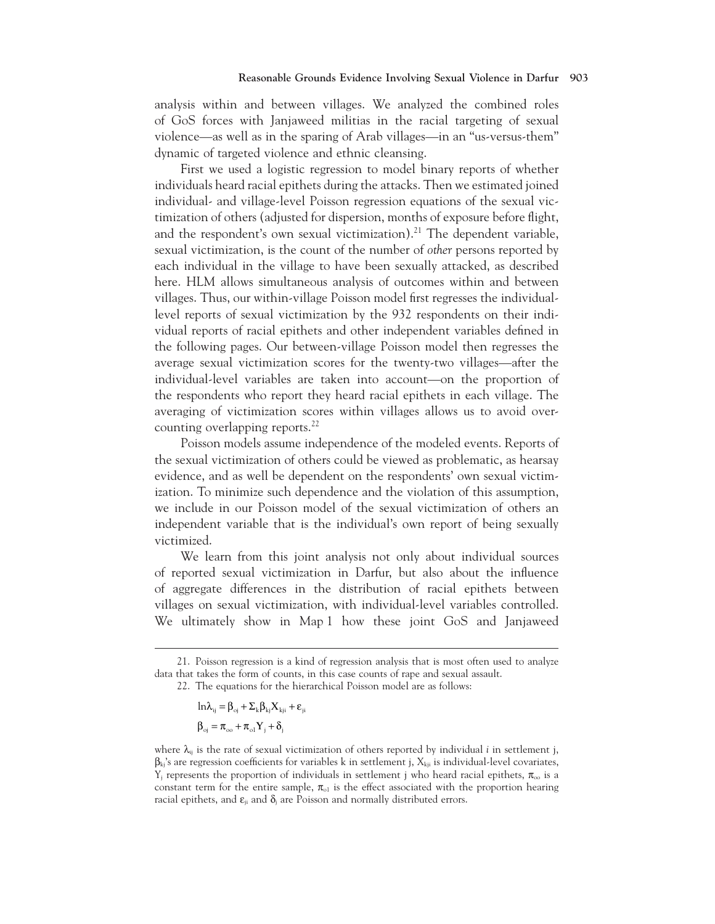analysis within and between villages. We analyzed the combined roles of GoS forces with Janjaweed militias in the racial targeting of sexual violence—as well as in the sparing of Arab villages—in an "us-versus-them" dynamic of targeted violence and ethnic cleansing.

First we used a logistic regression to model binary reports of whether individuals heard racial epithets during the attacks. Then we estimated joined individual- and village-level Poisson regression equations of the sexual victimization of others (adjusted for dispersion, months of exposure before flight, and the respondent's own sexual victimization).<sup>21</sup> The dependent variable, sexual victimization, is the count of the number of *other* persons reported by each individual in the village to have been sexually attacked, as described here. HLM allows simultaneous analysis of outcomes within and between villages. Thus, our within-village Poisson model first regresses the individuallevel reports of sexual victimization by the 932 respondents on their individual reports of racial epithets and other independent variables defined in the following pages. Our between-village Poisson model then regresses the average sexual victimization scores for the twenty-two villages—after the individual-level variables are taken into account—on the proportion of the respondents who report they heard racial epithets in each village. The averaging of victimization scores within villages allows us to avoid overcounting overlapping reports.<sup>22</sup>

Poisson models assume independence of the modeled events. Reports of the sexual victimization of others could be viewed as problematic, as hearsay evidence, and as well be dependent on the respondents' own sexual victimization. To minimize such dependence and the violation of this assumption, we include in our Poisson model of the sexual victimization of others an independent variable that is the individual's own report of being sexually victimized.

We learn from this joint analysis not only about individual sources of reported sexual victimization in Darfur, but also about the influence of aggregate differences in the distribution of racial epithets between villages on sexual victimization, with individual-level variables controlled. We ultimately show in Map 1 how these joint GoS and Janjaweed

 $ln\lambda_{ii} = \beta_{0i} + \Sigma_{k} \beta_{ki} X_{kii} + \varepsilon_{ii}$  $\beta_{\rm ei} = \pi_{\rm oo} + \pi_{\rm ol} Y_i + \delta_i$ 

<sup>21.</sup> Poisson regression is a kind of regression analysis that is most often used to analyze data that takes the form of counts, in this case counts of rape and sexual assault.

<sup>22.</sup> The equations for the hierarchical Poisson model are as follows:

where  $\lambda_{ij}$  is the rate of sexual victimization of others reported by individual *i* in settlement j,  $\beta_{kj}$ 's are regression coefficients for variables k in settlement j,  $X_{kj}$  is individual-level covariates,  $Y_i$  represents the proportion of individuals in settlement j who heard racial epithets,  $\pi_{\infty}$  is a constant term for the entire sample,  $\pi_{01}$  is the effect associated with the proportion hearing racial epithets, and  $\varepsilon_{ji}$  and  $\delta_j$  are Poisson and normally distributed errors.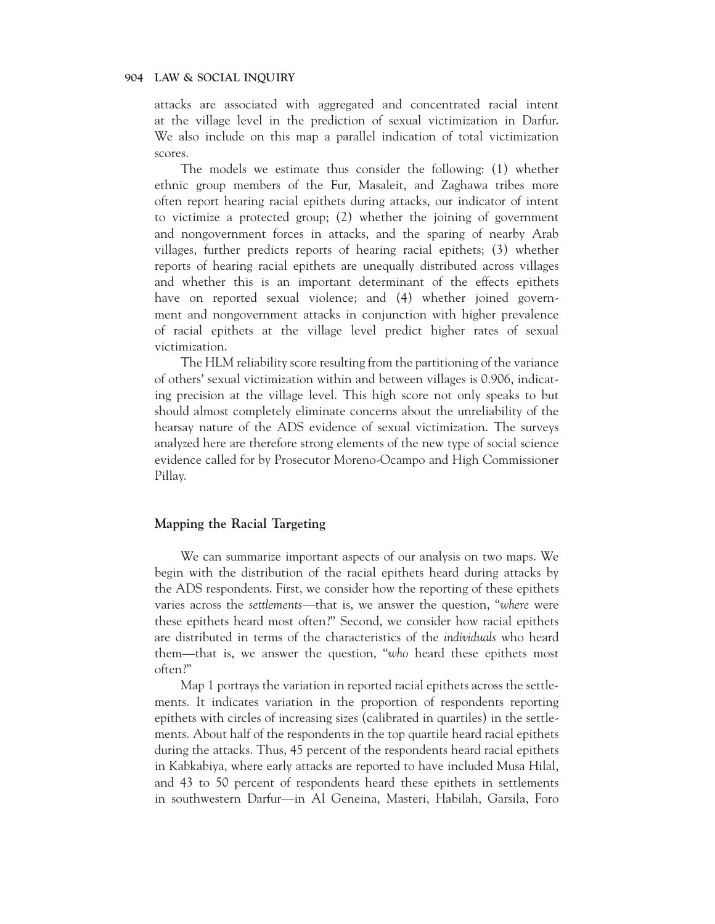attacks are associated with aggregated and concentrated racial intent at the village level in the prediction of sexual victimization in Darfur. We also include on this map a parallel indication of total victimization scores.

The models we estimate thus consider the following: (1) whether ethnic group members of the Fur, Masaleit, and Zaghawa tribes more often report hearing racial epithets during attacks, our indicator of intent to victimize a protected group; (2) whether the joining of government and nongovernment forces in attacks, and the sparing of nearby Arab villages, further predicts reports of hearing racial epithets; (3) whether reports of hearing racial epithets are unequally distributed across villages and whether this is an important determinant of the effects epithets have on reported sexual violence; and (4) whether joined government and nongovernment attacks in conjunction with higher prevalence of racial epithets at the village level predict higher rates of sexual victimization.

The HLM reliability score resulting from the partitioning of the variance of others' sexual victimization within and between villages is 0.906, indicating precision at the village level. This high score not only speaks to but should almost completely eliminate concerns about the unreliability of the hearsay nature of the ADS evidence of sexual victimization. The surveys analyzed here are therefore strong elements of the new type of social science evidence called for by Prosecutor Moreno-Ocampo and High Commissioner Pillay.

#### **Mapping the Racial Targeting**

We can summarize important aspects of our analysis on two maps. We begin with the distribution of the racial epithets heard during attacks by the ADS respondents. First, we consider how the reporting of these epithets varies across the *settlements*—that is, we answer the question, "*where* were these epithets heard most often?" Second, we consider how racial epithets are distributed in terms of the characteristics of the *individuals* who heard them—that is, we answer the question, "*who* heard these epithets most often?"

Map 1 portrays the variation in reported racial epithets across the settlements. It indicates variation in the proportion of respondents reporting epithets with circles of increasing sizes (calibrated in quartiles) in the settlements. About half of the respondents in the top quartile heard racial epithets during the attacks. Thus, 45 percent of the respondents heard racial epithets in Kabkabiya, where early attacks are reported to have included Musa Hilal, and 43 to 50 percent of respondents heard these epithets in settlements in southwestern Darfur—in Al Geneina, Masteri, Habilah, Garsila, Foro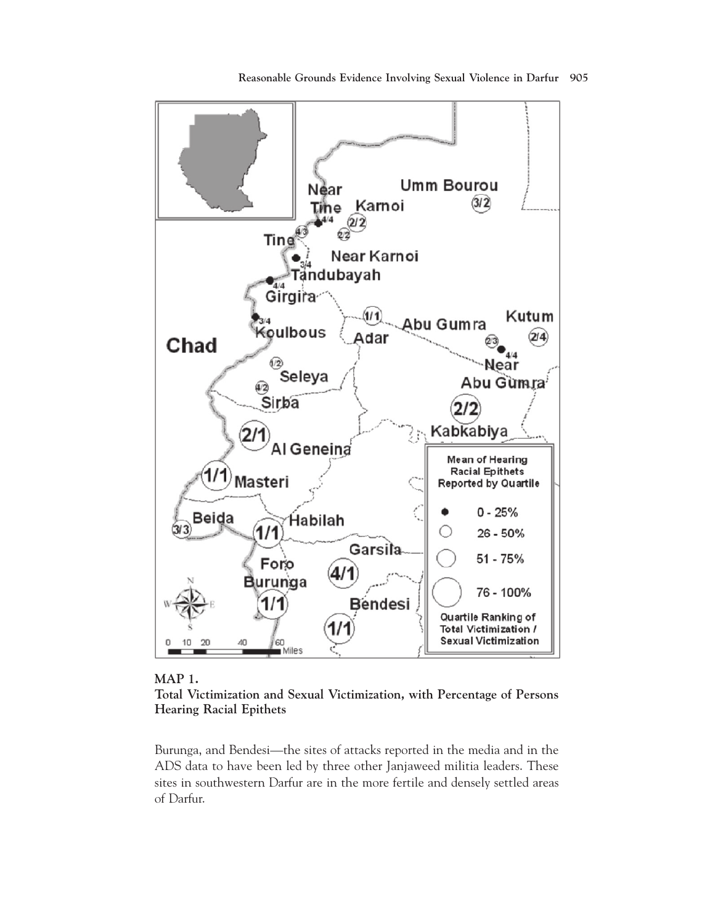



Burunga, and Bendesi—the sites of attacks reported in the media and in the ADS data to have been led by three other Janjaweed militia leaders. These sites in southwestern Darfur are in the more fertile and densely settled areas of Darfur.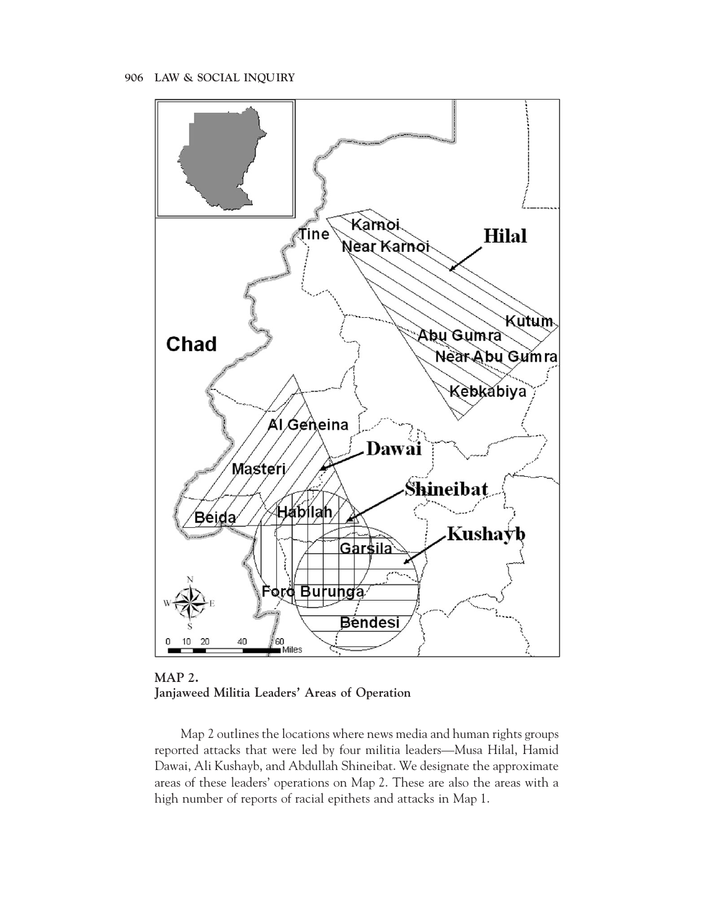



Map 2 outlines the locations where news media and human rights groups reported attacks that were led by four militia leaders—Musa Hilal, Hamid Dawai, Ali Kushayb, and Abdullah Shineibat. We designate the approximate areas of these leaders' operations on Map 2. These are also the areas with a high number of reports of racial epithets and attacks in Map 1.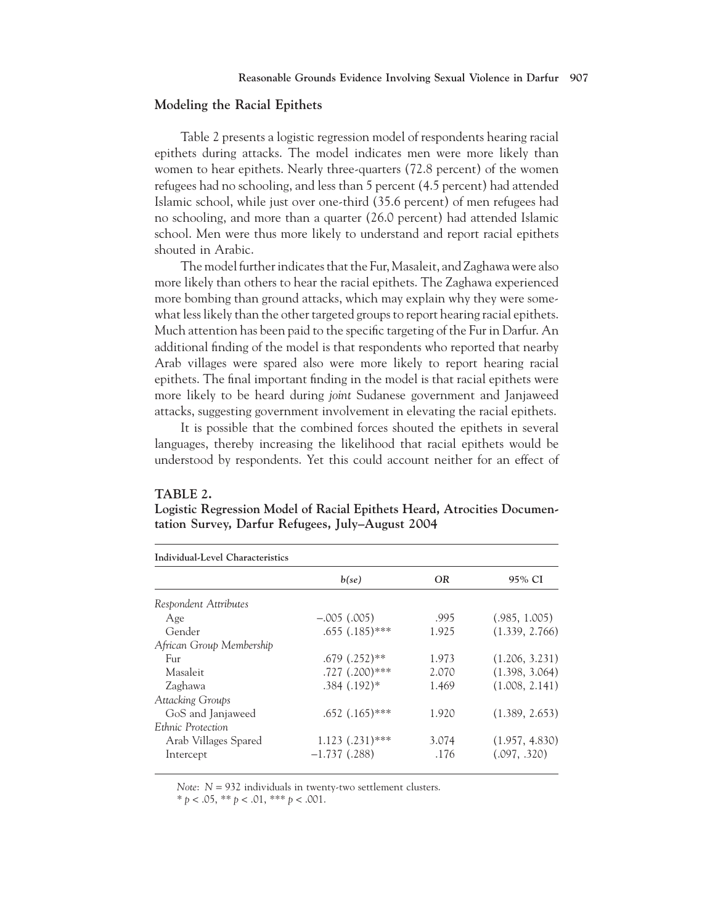#### **Modeling the Racial Epithets**

Table 2 presents a logistic regression model of respondents hearing racial epithets during attacks. The model indicates men were more likely than women to hear epithets. Nearly three-quarters (72.8 percent) of the women refugees had no schooling, and less than 5 percent (4.5 percent) had attended Islamic school, while just over one-third (35.6 percent) of men refugees had no schooling, and more than a quarter (26.0 percent) had attended Islamic school. Men were thus more likely to understand and report racial epithets shouted in Arabic.

The model further indicates that the Fur, Masaleit, and Zaghawa were also more likely than others to hear the racial epithets. The Zaghawa experienced more bombing than ground attacks, which may explain why they were somewhat less likely than the other targeted groups to report hearing racial epithets. Much attention has been paid to the specific targeting of the Fur in Darfur. An additional finding of the model is that respondents who reported that nearby Arab villages were spared also were more likely to report hearing racial epithets. The final important finding in the model is that racial epithets were more likely to be heard during *joint* Sudanese government and Janjaweed attacks, suggesting government involvement in elevating the racial epithets.

It is possible that the combined forces shouted the epithets in several languages, thereby increasing the likelihood that racial epithets would be understood by respondents. Yet this could account neither for an effect of

# **TABLE 2.**

| Logistic Regression Model of Racial Epithets Heard, Atrocities Documen- |
|-------------------------------------------------------------------------|
| tation Survey, Darfur Refugees, July-August 2004                        |
|                                                                         |

| Individual-Level Characteristics |                      |           |                |
|----------------------------------|----------------------|-----------|----------------|
|                                  | b(se)                | <b>OR</b> | 95% CI         |
| Respondent Attributes            |                      |           |                |
| Age                              | $-.005(.005)$        | .995      | (.985, 1.005)  |
| Gender                           | $.655(.185)$ ***     | 1.925     | (1.339, 2.766) |
| African Group Membership         |                      |           |                |
| Fur                              | $.679(.252)**$       | 1.973     | (1.206, 3.231) |
| Masaleit                         | $.727$ $(.200)$ ***  | 2.070     | (1.398, 3.064) |
| Zaghawa                          | $.384(.192)*$        | 1.469     | (1.008, 2.141) |
| <b>Attacking Groups</b>          |                      |           |                |
| GoS and Janjaweed                | $.652$ (.165)***     | 1.920     | (1.389, 2.653) |
| Ethnic Protection                |                      |           |                |
| Arab Villages Spared             | $1.123$ $(.231)$ *** | 3.074     | (1.957, 4.830) |
| Intercept                        | $-1.737$ (.288)      | .176      | (.097, .320)   |
|                                  |                      |           |                |

*Note*: *N* = 932 individuals in twenty-two settlement clusters.

\* *p* < .05, \*\* *p* < .01, \*\*\* *p* < .001.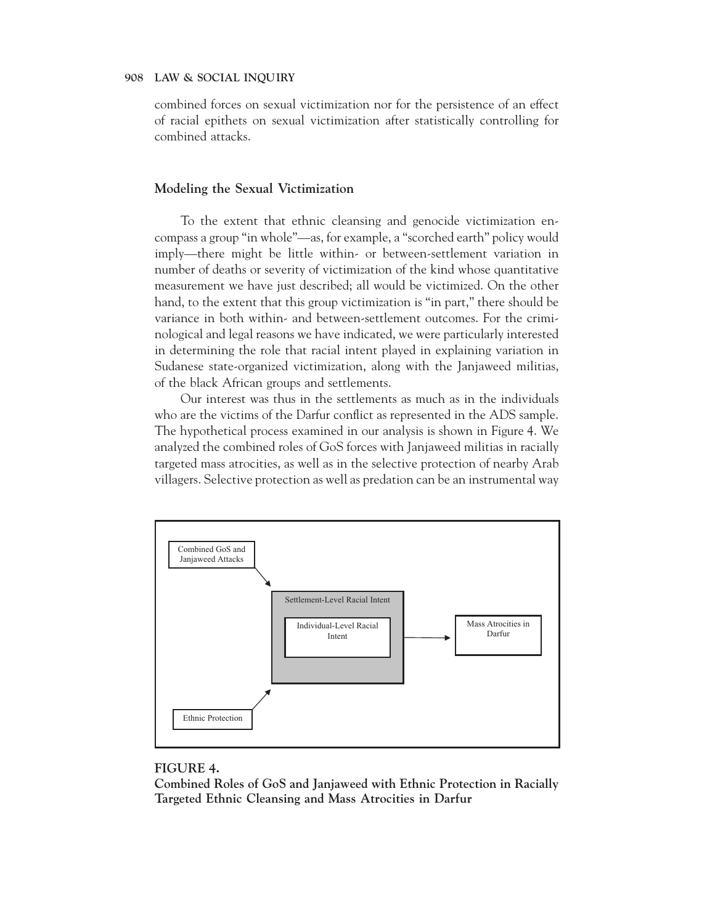combined forces on sexual victimization nor for the persistence of an effect of racial epithets on sexual victimization after statistically controlling for combined attacks.

#### **Modeling the Sexual Victimization**

To the extent that ethnic cleansing and genocide victimization encompass a group "in whole"—as, for example, a "scorched earth" policy would imply—there might be little within- or between-settlement variation in number of deaths or severity of victimization of the kind whose quantitative measurement we have just described; all would be victimized. On the other hand, to the extent that this group victimization is "in part," there should be variance in both within- and between-settlement outcomes. For the criminological and legal reasons we have indicated, we were particularly interested in determining the role that racial intent played in explaining variation in Sudanese state-organized victimization, along with the Janjaweed militias, of the black African groups and settlements.

Our interest was thus in the settlements as much as in the individuals who are the victims of the Darfur conflict as represented in the ADS sample. The hypothetical process examined in our analysis is shown in Figure 4. We analyzed the combined roles of GoS forces with Janjaweed militias in racially targeted mass atrocities, as well as in the selective protection of nearby Arab villagers. Selective protection as well as predation can be an instrumental way



# **FIGURE 4.**

**Combined Roles of GoS and Janjaweed with Ethnic Protection in Racially Targeted Ethnic Cleansing and Mass Atrocities in Darfur**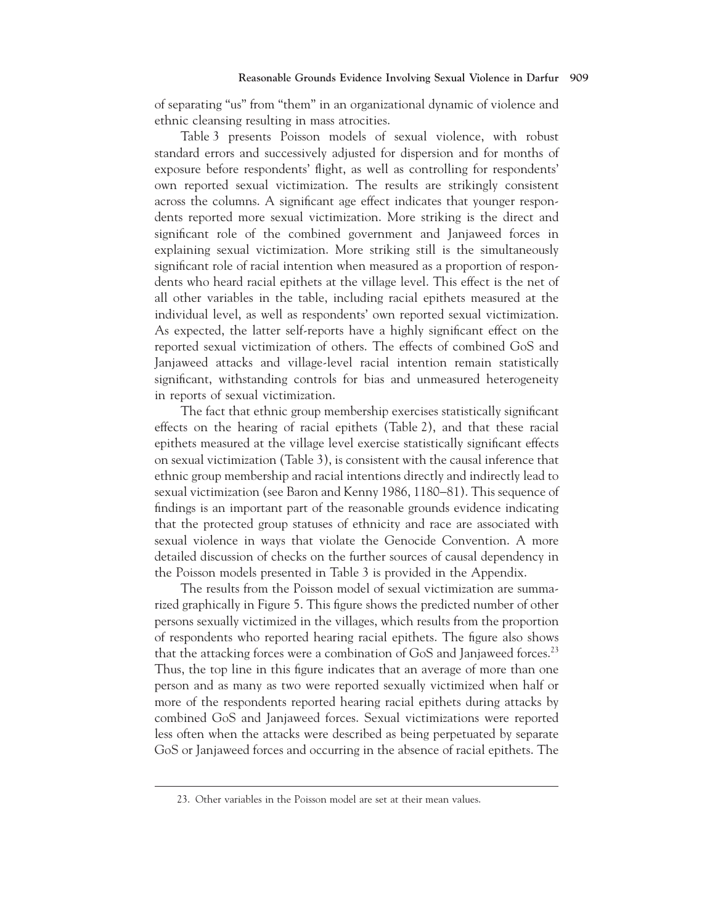of separating "us" from "them" in an organizational dynamic of violence and ethnic cleansing resulting in mass atrocities.

Table 3 presents Poisson models of sexual violence, with robust standard errors and successively adjusted for dispersion and for months of exposure before respondents' flight, as well as controlling for respondents' own reported sexual victimization. The results are strikingly consistent across the columns. A significant age effect indicates that younger respondents reported more sexual victimization. More striking is the direct and significant role of the combined government and Janjaweed forces in explaining sexual victimization. More striking still is the simultaneously significant role of racial intention when measured as a proportion of respondents who heard racial epithets at the village level. This effect is the net of all other variables in the table, including racial epithets measured at the individual level, as well as respondents' own reported sexual victimization. As expected, the latter self-reports have a highly significant effect on the reported sexual victimization of others. The effects of combined GoS and Janjaweed attacks and village-level racial intention remain statistically significant, withstanding controls for bias and unmeasured heterogeneity in reports of sexual victimization.

The fact that ethnic group membership exercises statistically significant effects on the hearing of racial epithets (Table 2), and that these racial epithets measured at the village level exercise statistically significant effects on sexual victimization (Table 3), is consistent with the causal inference that ethnic group membership and racial intentions directly and indirectly lead to sexual victimization (see Baron and Kenny 1986, 1180-81). This sequence of findings is an important part of the reasonable grounds evidence indicating that the protected group statuses of ethnicity and race are associated with sexual violence in ways that violate the Genocide Convention. A more detailed discussion of checks on the further sources of causal dependency in the Poisson models presented in Table 3 is provided in the Appendix.

The results from the Poisson model of sexual victimization are summarized graphically in Figure 5. This figure shows the predicted number of other persons sexually victimized in the villages, which results from the proportion of respondents who reported hearing racial epithets. The figure also shows that the attacking forces were a combination of  $GoS$  and Janjaweed forces.<sup>23</sup> Thus, the top line in this figure indicates that an average of more than one person and as many as two were reported sexually victimized when half or more of the respondents reported hearing racial epithets during attacks by combined GoS and Janjaweed forces. Sexual victimizations were reported less often when the attacks were described as being perpetuated by separate GoS or Janjaweed forces and occurring in the absence of racial epithets. The

<sup>23.</sup> Other variables in the Poisson model are set at their mean values.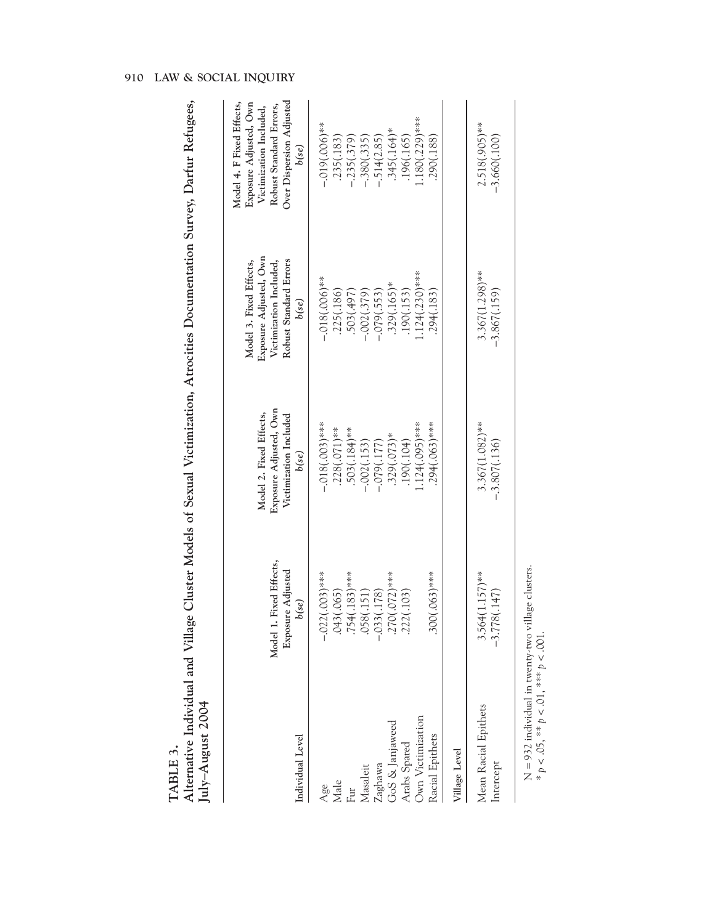| .235(.183)<br>$-.235(.379)$<br>.380(.335)<br>$-3.660(.100)$<br>.514(2.85)<br>196(.165)<br>290(.188)<br>3.367(1.298)**<br>$.124(.230)$ ***<br>$-.018(.006)**$<br>$.329(.165)*$<br>$-3.867(.159)$<br>.225(.186)<br>503(.497)<br>$-0.002(0.379)$<br>190(.153)<br>294(.183)<br>$-.079(.553)$<br>$-.018(.003)***$<br>$3.367(1.082)**$<br>$1.124(.095)$ ***<br>294(.063)***<br>$.228(.071)**$<br>$.503(.184)$ **<br>$329(.073)*$<br>$-002(0153)$<br>$-079(1177)$<br>190(.104)<br>$-3.807(.136)$<br>$-.022(.003)***$<br>$3.564(1.157)$ **<br>$.754(.183)$ ***<br>$.270(.072)***$<br>$.300(.063)$ ***<br>.058(.151)<br>$-3.778(.147)$<br>.033(.178)<br>.222(.103)<br>.043(.065)<br>Mean Racial Epithets<br>Own Victimization<br>GoS & Janjaweed<br>Racial Epithets<br>Arabs Spared<br>Village Level<br>Intercept<br>Zaghawa<br>Masaleit<br>Male<br>Age<br>Fur | Individual Level | Model 1. Fixed Effects,<br>Exposure Adjusted<br>b(se) | Exposure Adjusted, Own<br>Model 2. Fixed Effects,<br>Victimization Included<br>b(se) | Exposure Adjusted, Own<br>Robust Standard Errors<br>Victimization Included,<br>Model 3. Fixed Effects,<br>b(se) | Over Dispersion Adjusted<br>Model 4. F Fixed Effects,<br>Exposure Adjusted, Own<br>Robust Standard Errors,<br>Victimization Included,<br>b(se) |
|-------------------------------------------------------------------------------------------------------------------------------------------------------------------------------------------------------------------------------------------------------------------------------------------------------------------------------------------------------------------------------------------------------------------------------------------------------------------------------------------------------------------------------------------------------------------------------------------------------------------------------------------------------------------------------------------------------------------------------------------------------------------------------------------------------------------------------------------------------|------------------|-------------------------------------------------------|--------------------------------------------------------------------------------------|-----------------------------------------------------------------------------------------------------------------|------------------------------------------------------------------------------------------------------------------------------------------------|
|                                                                                                                                                                                                                                                                                                                                                                                                                                                                                                                                                                                                                                                                                                                                                                                                                                                       |                  |                                                       |                                                                                      |                                                                                                                 | $-.019(.006)**$                                                                                                                                |
|                                                                                                                                                                                                                                                                                                                                                                                                                                                                                                                                                                                                                                                                                                                                                                                                                                                       |                  |                                                       |                                                                                      |                                                                                                                 |                                                                                                                                                |
|                                                                                                                                                                                                                                                                                                                                                                                                                                                                                                                                                                                                                                                                                                                                                                                                                                                       |                  |                                                       |                                                                                      |                                                                                                                 |                                                                                                                                                |
|                                                                                                                                                                                                                                                                                                                                                                                                                                                                                                                                                                                                                                                                                                                                                                                                                                                       |                  |                                                       |                                                                                      |                                                                                                                 |                                                                                                                                                |
|                                                                                                                                                                                                                                                                                                                                                                                                                                                                                                                                                                                                                                                                                                                                                                                                                                                       |                  |                                                       |                                                                                      |                                                                                                                 |                                                                                                                                                |
|                                                                                                                                                                                                                                                                                                                                                                                                                                                                                                                                                                                                                                                                                                                                                                                                                                                       |                  |                                                       |                                                                                      |                                                                                                                 | $.345(.164)*$                                                                                                                                  |
|                                                                                                                                                                                                                                                                                                                                                                                                                                                                                                                                                                                                                                                                                                                                                                                                                                                       |                  |                                                       |                                                                                      |                                                                                                                 |                                                                                                                                                |
|                                                                                                                                                                                                                                                                                                                                                                                                                                                                                                                                                                                                                                                                                                                                                                                                                                                       |                  |                                                       |                                                                                      |                                                                                                                 | $.180(.229)$ ***                                                                                                                               |
|                                                                                                                                                                                                                                                                                                                                                                                                                                                                                                                                                                                                                                                                                                                                                                                                                                                       |                  |                                                       |                                                                                      |                                                                                                                 |                                                                                                                                                |
|                                                                                                                                                                                                                                                                                                                                                                                                                                                                                                                                                                                                                                                                                                                                                                                                                                                       |                  |                                                       |                                                                                      |                                                                                                                 |                                                                                                                                                |
|                                                                                                                                                                                                                                                                                                                                                                                                                                                                                                                                                                                                                                                                                                                                                                                                                                                       |                  |                                                       |                                                                                      |                                                                                                                 | 2.518(.905)**                                                                                                                                  |
|                                                                                                                                                                                                                                                                                                                                                                                                                                                                                                                                                                                                                                                                                                                                                                                                                                                       |                  |                                                       |                                                                                      |                                                                                                                 |                                                                                                                                                |

TABLE 3.<br>Alternative Individual and Village Cluster Models of Sexual Victimization, Atrocities Documentation Survey, Darfur Refugees,<br>July–August 2004 Alternative Individual and Village Cluster Models of Sexual Victimization, Atrocities Documentation Survey, Darfur Refugees, **July–August 2004 TABLE 3.**

N = 932 individual in twenty-two village clusters. N = 932 individual in twenty-two village clusters.<br>\*  $p < .05$ , \*\*  $p < .01$ , \*\*\*  $p < .001$ . *p* < .05, \*\* *p* < .01, \*\*\* *p* < .001.

# **910 LAW & SOCIAL INQUIRY**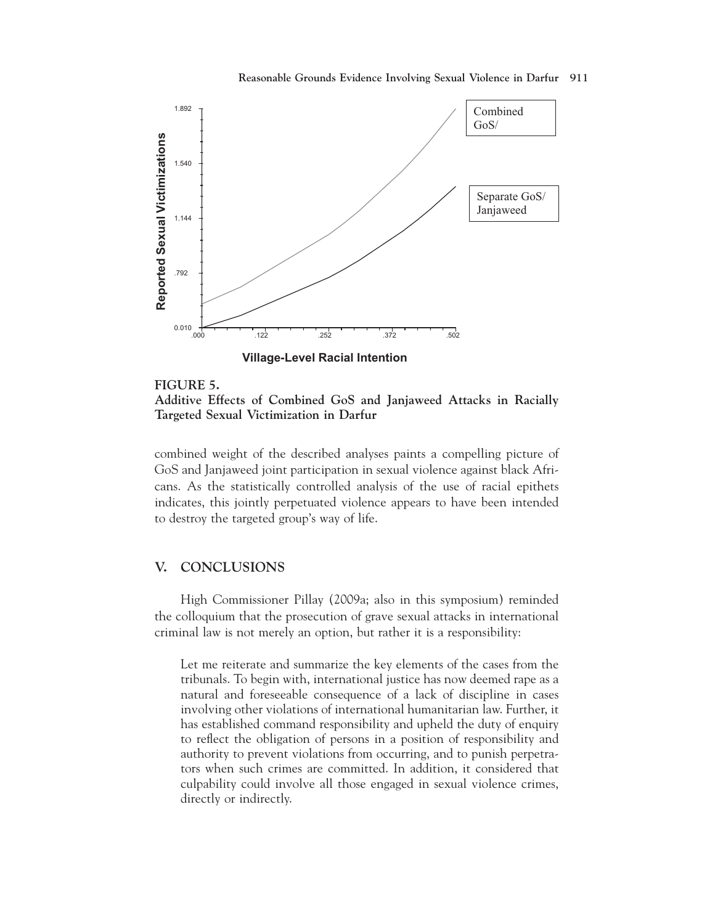**Reasonable Grounds Evidence Involving Sexual Violence in Darfur 911**



**FIGURE 5. Additive Effects of Combined GoS and Janjaweed Attacks in Racially Targeted Sexual Victimization in Darfur**

combined weight of the described analyses paints a compelling picture of GoS and Janjaweed joint participation in sexual violence against black Africans. As the statistically controlled analysis of the use of racial epithets indicates, this jointly perpetuated violence appears to have been intended to destroy the targeted group's way of life.

# **V. CONCLUSIONS**

High Commissioner Pillay (2009a; also in this symposium) reminded the colloquium that the prosecution of grave sexual attacks in international criminal law is not merely an option, but rather it is a responsibility:

Let me reiterate and summarize the key elements of the cases from the tribunals. To begin with, international justice has now deemed rape as a natural and foreseeable consequence of a lack of discipline in cases involving other violations of international humanitarian law. Further, it has established command responsibility and upheld the duty of enquiry to reflect the obligation of persons in a position of responsibility and authority to prevent violations from occurring, and to punish perpetrators when such crimes are committed. In addition, it considered that culpability could involve all those engaged in sexual violence crimes, directly or indirectly.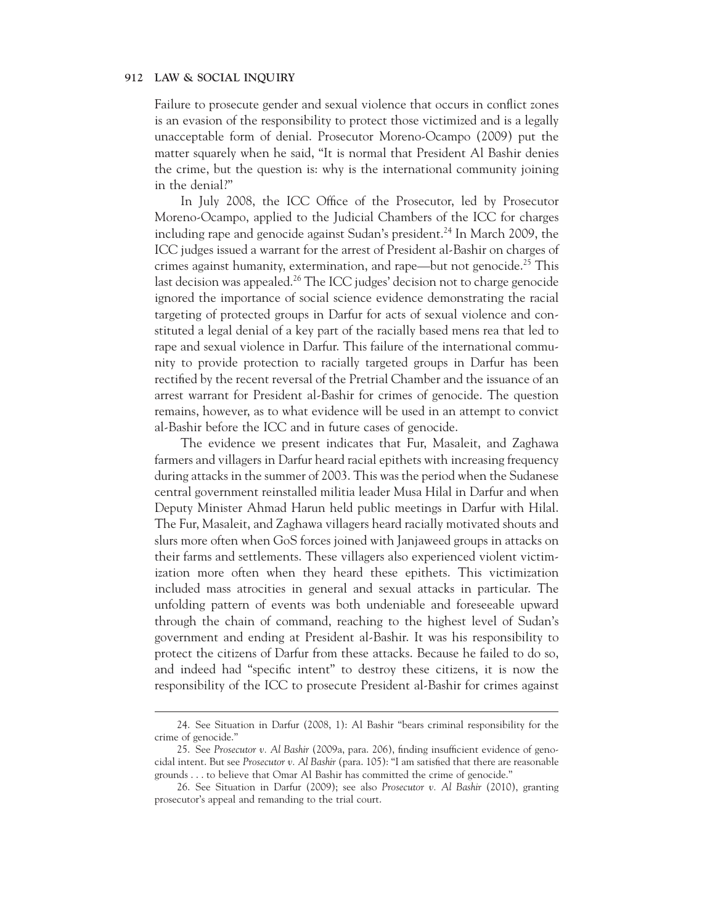Failure to prosecute gender and sexual violence that occurs in conflict zones is an evasion of the responsibility to protect those victimized and is a legally unacceptable form of denial. Prosecutor Moreno-Ocampo (2009) put the matter squarely when he said, "It is normal that President Al Bashir denies the crime, but the question is: why is the international community joining in the denial?"

In July 2008, the ICC Office of the Prosecutor, led by Prosecutor Moreno-Ocampo, applied to the Judicial Chambers of the ICC for charges including rape and genocide against Sudan's president.<sup>24</sup> In March 2009, the ICC judges issued a warrant for the arrest of President al-Bashir on charges of crimes against humanity, extermination, and rape—but not genocide.<sup>25</sup> This last decision was appealed.<sup>26</sup> The ICC judges' decision not to charge genocide ignored the importance of social science evidence demonstrating the racial targeting of protected groups in Darfur for acts of sexual violence and constituted a legal denial of a key part of the racially based mens rea that led to rape and sexual violence in Darfur. This failure of the international community to provide protection to racially targeted groups in Darfur has been rectified by the recent reversal of the Pretrial Chamber and the issuance of an arrest warrant for President al-Bashir for crimes of genocide. The question remains, however, as to what evidence will be used in an attempt to convict al-Bashir before the ICC and in future cases of genocide.

The evidence we present indicates that Fur, Masaleit, and Zaghawa farmers and villagers in Darfur heard racial epithets with increasing frequency during attacks in the summer of 2003. This was the period when the Sudanese central government reinstalled militia leader Musa Hilal in Darfur and when Deputy Minister Ahmad Harun held public meetings in Darfur with Hilal. The Fur, Masaleit, and Zaghawa villagers heard racially motivated shouts and slurs more often when GoS forces joined with Janjaweed groups in attacks on their farms and settlements. These villagers also experienced violent victimization more often when they heard these epithets. This victimization included mass atrocities in general and sexual attacks in particular. The unfolding pattern of events was both undeniable and foreseeable upward through the chain of command, reaching to the highest level of Sudan's government and ending at President al-Bashir. It was his responsibility to protect the citizens of Darfur from these attacks. Because he failed to do so, and indeed had "specific intent" to destroy these citizens, it is now the responsibility of the ICC to prosecute President al-Bashir for crimes against

<sup>24.</sup> See Situation in Darfur (2008, 1): Al Bashir "bears criminal responsibility for the crime of genocide."

<sup>25.</sup> See *Prosecutor v. Al Bashir* (2009a, para. 206), finding insufficient evidence of genocidal intent. But see *Prosecutor v. Al Bashir* (para. 105): "I am satisfied that there are reasonable grounds . . . to believe that Omar Al Bashir has committed the crime of genocide."

<sup>26.</sup> See Situation in Darfur (2009); see also *Prosecutor v. Al Bashir* (2010), granting prosecutor's appeal and remanding to the trial court.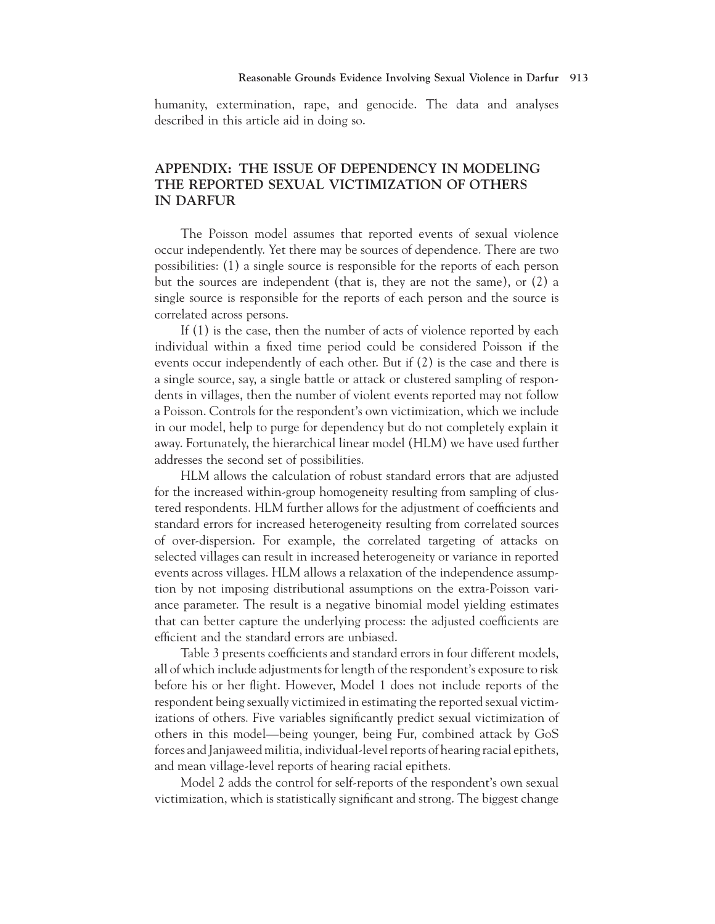humanity, extermination, rape, and genocide. The data and analyses described in this article aid in doing so.

# **APPENDIX: THE ISSUE OF DEPENDENCY IN MODELING THE REPORTED SEXUAL VICTIMIZATION OF OTHERS IN DARFUR**

The Poisson model assumes that reported events of sexual violence occur independently. Yet there may be sources of dependence. There are two possibilities: (1) a single source is responsible for the reports of each person but the sources are independent (that is, they are not the same), or (2) a single source is responsible for the reports of each person and the source is correlated across persons.

If (1) is the case, then the number of acts of violence reported by each individual within a fixed time period could be considered Poisson if the events occur independently of each other. But if (2) is the case and there is a single source, say, a single battle or attack or clustered sampling of respondents in villages, then the number of violent events reported may not follow a Poisson. Controls for the respondent's own victimization, which we include in our model, help to purge for dependency but do not completely explain it away. Fortunately, the hierarchical linear model (HLM) we have used further addresses the second set of possibilities.

HLM allows the calculation of robust standard errors that are adjusted for the increased within-group homogeneity resulting from sampling of clustered respondents. HLM further allows for the adjustment of coefficients and standard errors for increased heterogeneity resulting from correlated sources of over-dispersion. For example, the correlated targeting of attacks on selected villages can result in increased heterogeneity or variance in reported events across villages. HLM allows a relaxation of the independence assumption by not imposing distributional assumptions on the extra-Poisson variance parameter. The result is a negative binomial model yielding estimates that can better capture the underlying process: the adjusted coefficients are efficient and the standard errors are unbiased.

Table 3 presents coefficients and standard errors in four different models, all of which include adjustments for length of the respondent's exposure to risk before his or her flight. However, Model 1 does not include reports of the respondent being sexually victimized in estimating the reported sexual victimizations of others. Five variables significantly predict sexual victimization of others in this model—being younger, being Fur, combined attack by GoS forces and Janjaweed militia, individual-level reports of hearing racial epithets, and mean village-level reports of hearing racial epithets.

Model 2 adds the control for self-reports of the respondent's own sexual victimization, which is statistically significant and strong. The biggest change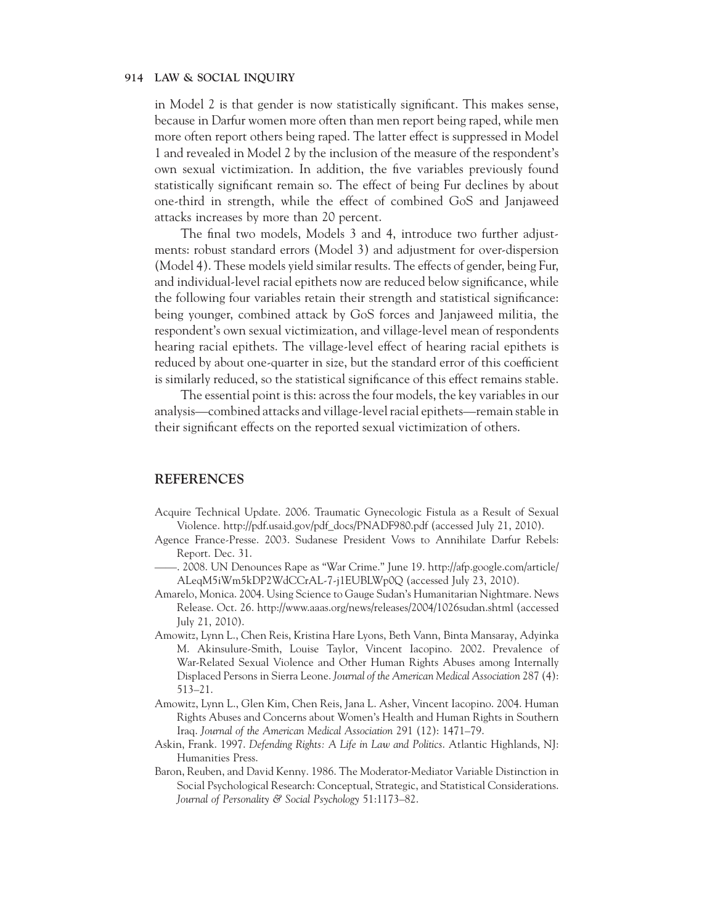in Model 2 is that gender is now statistically significant. This makes sense, because in Darfur women more often than men report being raped, while men more often report others being raped. The latter effect is suppressed in Model 1 and revealed in Model 2 by the inclusion of the measure of the respondent's own sexual victimization. In addition, the five variables previously found statistically significant remain so. The effect of being Fur declines by about one-third in strength, while the effect of combined GoS and Janjaweed attacks increases by more than 20 percent.

The final two models, Models 3 and 4, introduce two further adjustments: robust standard errors (Model 3) and adjustment for over-dispersion (Model 4). These models yield similar results. The effects of gender, being Fur, and individual-level racial epithets now are reduced below significance, while the following four variables retain their strength and statistical significance: being younger, combined attack by GoS forces and Janjaweed militia, the respondent's own sexual victimization, and village-level mean of respondents hearing racial epithets. The village-level effect of hearing racial epithets is reduced by about one-quarter in size, but the standard error of this coefficient is similarly reduced, so the statistical significance of this effect remains stable.

The essential point is this: across the four models, the key variables in our analysis—combined attacks and village-level racial epithets—remain stable in their significant effects on the reported sexual victimization of others.

#### **REFERENCES**

- Acquire Technical Update. 2006. Traumatic Gynecologic Fistula as a Result of Sexual Violence. http://pdf.usaid.gov/pdf\_docs/PNADF980.pdf (accessed July 21, 2010).
- Agence France-Presse. 2003. Sudanese President Vows to Annihilate Darfur Rebels: Report. Dec. 31.
- ——. 2008. UN Denounces Rape as "War Crime." June 19. http://afp.google.com/article/ ALeqM5iWm5kDP2WdCCrAL-7-j1EUBLWp0Q (accessed July 23, 2010).
- Amarelo, Monica. 2004. Using Science to Gauge Sudan's Humanitarian Nightmare. News Release. Oct. 26. http://www.aaas.org/news/releases/2004/1026sudan.shtml (accessed July 21, 2010).
- Amowitz, Lynn L., Chen Reis, Kristina Hare Lyons, Beth Vann, Binta Mansaray, Adyinka M. Akinsulure-Smith, Louise Taylor, Vincent Iacopino. 2002. Prevalence of War-Related Sexual Violence and Other Human Rights Abuses among Internally Displaced Persons in Sierra Leone. *Journal of the American Medical Association* 287 (4): 513–21.
- Amowitz, Lynn L., Glen Kim, Chen Reis, Jana L. Asher, Vincent Iacopino. 2004. Human Rights Abuses and Concerns about Women's Health and Human Rights in Southern Iraq. *Journal of the American Medical Association* 291 (12): 1471–79.
- Askin, Frank. 1997. *Defending Rights: A Life in Law and Politics*. Atlantic Highlands, NJ: Humanities Press.
- Baron, Reuben, and David Kenny. 1986. The Moderator-Mediator Variable Distinction in Social Psychological Research: Conceptual, Strategic, and Statistical Considerations. *Journal of Personality & Social Psychology* 51:1173–82.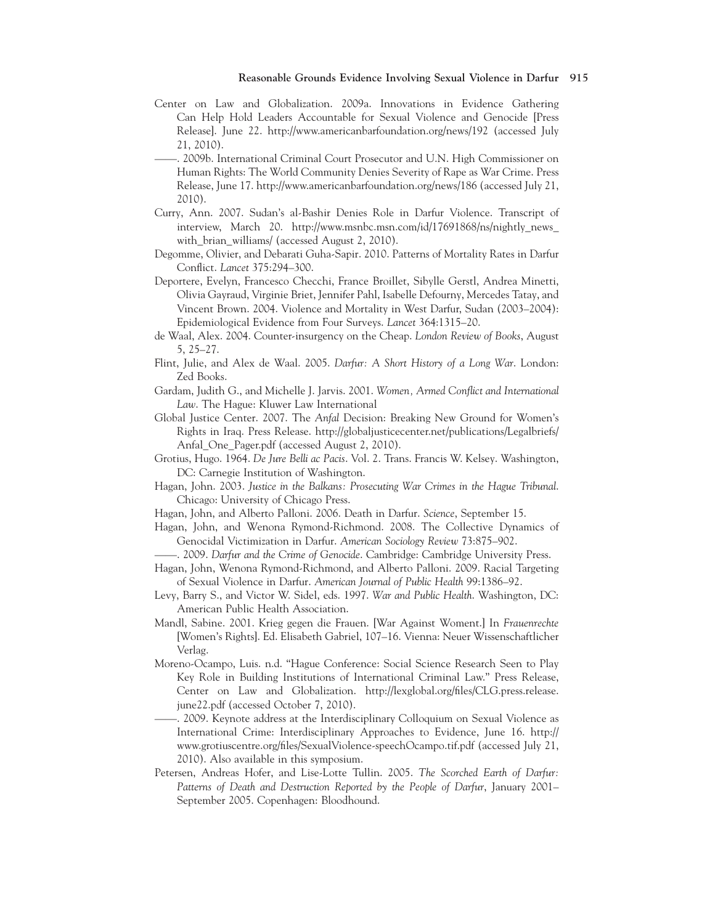- Center on Law and Globalization. 2009a. Innovations in Evidence Gathering Can Help Hold Leaders Accountable for Sexual Violence and Genocide [Press Release]. June 22. http://www.americanbarfoundation.org/news/192 (accessed July 21, 2010).
- ——. 2009b. International Criminal Court Prosecutor and U.N. High Commissioner on Human Rights: The World Community Denies Severity of Rape as War Crime. Press Release, June 17. http://www.americanbarfoundation.org/news/186 (accessed July 21, 2010).
- Curry, Ann. 2007. Sudan's al-Bashir Denies Role in Darfur Violence. Transcript of interview, March 20. http://www.msnbc.msn.com/id/17691868/ns/nightly\_news\_ with brian williams/ (accessed August 2, 2010).
- Degomme, Olivier, and Debarati Guha-Sapir. 2010. Patterns of Mortality Rates in Darfur Conflict. *Lancet* 375:294–300.
- Deportere, Evelyn, Francesco Checchi, France Broillet, Sibylle Gerstl, Andrea Minetti, Olivia Gayraud, Virginie Briet, Jennifer Pahl, Isabelle Defourny, Mercedes Tatay, and Vincent Brown. 2004. Violence and Mortality in West Darfur, Sudan (2003–2004): Epidemiological Evidence from Four Surveys. *Lancet* 364:1315–20.
- de Waal, Alex. 2004. Counter-insurgency on the Cheap. *London Review of Books*, August 5, 25–27.
- Flint, Julie, and Alex de Waal. 2005. *Darfur: A Short History of a Long War*. London: Zed Books.
- Gardam, Judith G., and Michelle J. Jarvis. 2001. *Women, Armed Conflict and International Law*. The Hague: Kluwer Law International
- Global Justice Center. 2007. The *Anfal* Decision: Breaking New Ground for Women's Rights in Iraq. Press Release. http://globaljusticecenter.net/publications/Legalbriefs/ Anfal One Pager.pdf (accessed August 2, 2010).
- Grotius, Hugo. 1964. *De Jure Belli ac Pacis*. Vol. 2. Trans. Francis W. Kelsey. Washington, DC: Carnegie Institution of Washington.
- Hagan, John. 2003. *Justice in the Balkans: Prosecuting War Crimes in the Hague Tribunal*. Chicago: University of Chicago Press.
- Hagan, John, and Alberto Palloni. 2006. Death in Darfur. *Science*, September 15.
- Hagan, John, and Wenona Rymond-Richmond. 2008. The Collective Dynamics of Genocidal Victimization in Darfur. *American Sociology Review* 73:875–902.
- ——. 2009. *Darfur and the Crime of Genocide*. Cambridge: Cambridge University Press.
- Hagan, John, Wenona Rymond-Richmond, and Alberto Palloni. 2009. Racial Targeting of Sexual Violence in Darfur. *American Journal of Public Health* 99:1386–92.
- Levy, Barry S., and Victor W. Sidel, eds. 1997. *War and Public Health*. Washington, DC: American Public Health Association.
- Mandl, Sabine. 2001. Krieg gegen die Frauen. [War Against Woment.] In *Frauenrechte* [Women's Rights]. Ed. Elisabeth Gabriel, 107–16. Vienna: Neuer Wissenschaftlicher Verlag.
- Moreno-Ocampo, Luis. n.d. "Hague Conference: Social Science Research Seen to Play Key Role in Building Institutions of International Criminal Law." Press Release, Center on Law and Globalization. http://lexglobal.org/files/CLG.press.release. june22.pdf (accessed October 7, 2010).
- ——. 2009. Keynote address at the Interdisciplinary Colloquium on Sexual Violence as International Crime: Interdisciplinary Approaches to Evidence, June 16. http:// www.grotiuscentre.org/files/SexualViolence-speechOcampo.tif.pdf (accessed July 21, 2010). Also available in this symposium.
- Petersen, Andreas Hofer, and Lise-Lotte Tullin. 2005. *The Scorched Earth of Darfur: Patterns of Death and Destruction Reported by the People of Darfur*, January 2001– September 2005. Copenhagen: Bloodhound.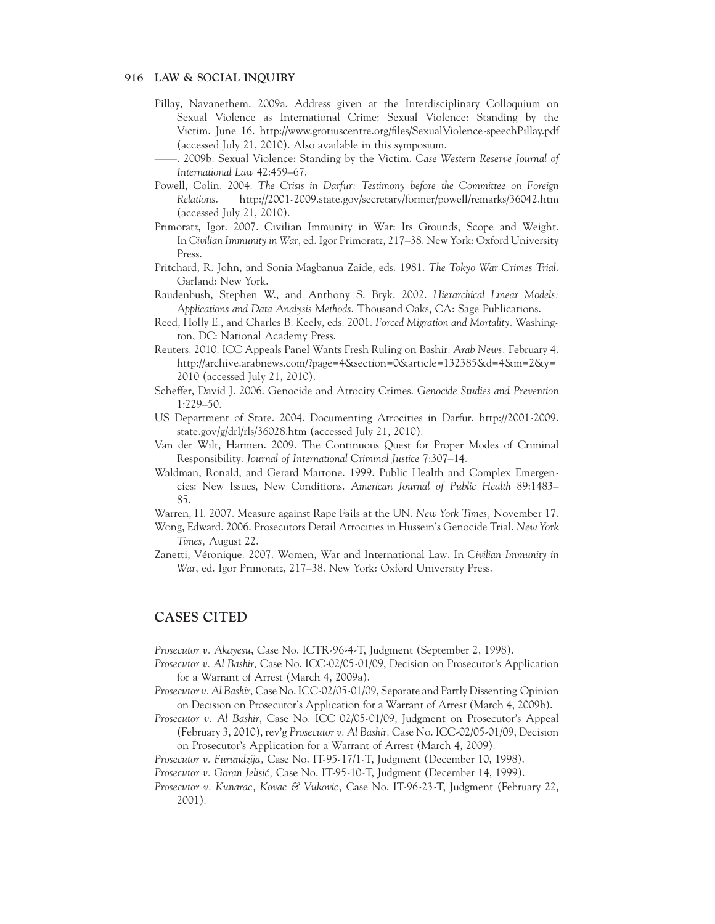- Pillay, Navanethem. 2009a. Address given at the Interdisciplinary Colloquium on Sexual Violence as International Crime: Sexual Violence: Standing by the Victim. June 16. http://www.grotiuscentre.org/files/SexualViolence-speechPillay.pdf (accessed July 21, 2010). Also available in this symposium.
- ——. 2009b. Sexual Violence: Standing by the Victim. *Case Western Reserve Journal of International Law* 42:459–67.
- Powell, Colin. 2004. *The Crisis in Darfur: Testimony before the Committee on Foreign Relations*. http://2001-2009.state.gov/secretary/former/powell/remarks/36042.htm (accessed July 21, 2010).
- Primoratz, Igor. 2007. Civilian Immunity in War: Its Grounds, Scope and Weight. In *Civilian Immunity in War*, ed. Igor Primoratz, 217–38. New York: Oxford University Press.
- Pritchard, R. John, and Sonia Magbanua Zaide, eds. 1981. *The Tokyo War Crimes Trial*. Garland: New York.
- Raudenbush, Stephen W., and Anthony S. Bryk. 2002. *Hierarchical Linear Models: Applications and Data Analysis Methods*. Thousand Oaks, CA: Sage Publications.
- Reed, Holly E., and Charles B. Keely, eds. 2001. *Forced Migration and Mortality*. Washington, DC: National Academy Press.
- Reuters. 2010. ICC Appeals Panel Wants Fresh Ruling on Bashir. *Arab News.* February 4. http://archive.arabnews.com/?page=4&section=0&article=132385&d=4&m=2&y= 2010 (accessed July 21, 2010).
- Scheffer, David J. 2006. Genocide and Atrocity Crimes. *Genocide Studies and Prevention* 1:229–50.
- US Department of State. 2004. Documenting Atrocities in Darfur. http://2001-2009. state.gov/g/drl/rls/36028.htm (accessed July 21, 2010).
- Van der Wilt, Harmen. 2009. The Continuous Quest for Proper Modes of Criminal Responsibility. *Journal of International Criminal Justice* 7:307–14.
- Waldman, Ronald, and Gerard Martone. 1999. Public Health and Complex Emergencies: New Issues, New Conditions. *American Journal of Public Health* 89:1483– 85.

Warren, H. 2007. Measure against Rape Fails at the UN. *New York Times,* November 17.

- Wong, Edward. 2006. Prosecutors Detail Atrocities in Hussein's Genocide Trial. *New York Times,* August 22.
- Zanetti, Véronique. 2007. Women, War and International Law. In *Civilian Immunity in War*, ed. Igor Primoratz, 217–38. New York: Oxford University Press.

# **CASES CITED**

*Prosecutor v. Akayesu*, Case No. ICTR-96-4-T, Judgment (September 2, 1998).

- *Prosecutor v. Al Bashir,* Case No. ICC-02/05-01/09, Decision on Prosecutor's Application for a Warrant of Arrest (March 4, 2009a).
- *Prosecutor v. Al Bashir,* Case No. ICC-02/05-01/09, Separate and Partly Dissenting Opinion on Decision on Prosecutor's Application for a Warrant of Arrest (March 4, 2009b).
- *Prosecutor v. Al Bashir*, Case No. ICC 02/05-01/09, Judgment on Prosecutor's Appeal (February 3, 2010), rev'g *Prosecutor v. Al Bashir,* Case No. ICC-02/05-01/09, Decision on Prosecutor's Application for a Warrant of Arrest (March 4, 2009).
- *Prosecutor v. Furundzija,* Case No. IT-95-17/1-T, Judgment (December 10, 1998).
- *Prosecutor v. Goran Jelisic´,* Case No. IT-95-10-T, Judgment (December 14, 1999).
- *Prosecutor v. Kunarac, Kovac & Vukovic,* Case No. IT-96-23-T, Judgment (February 22, 2001).